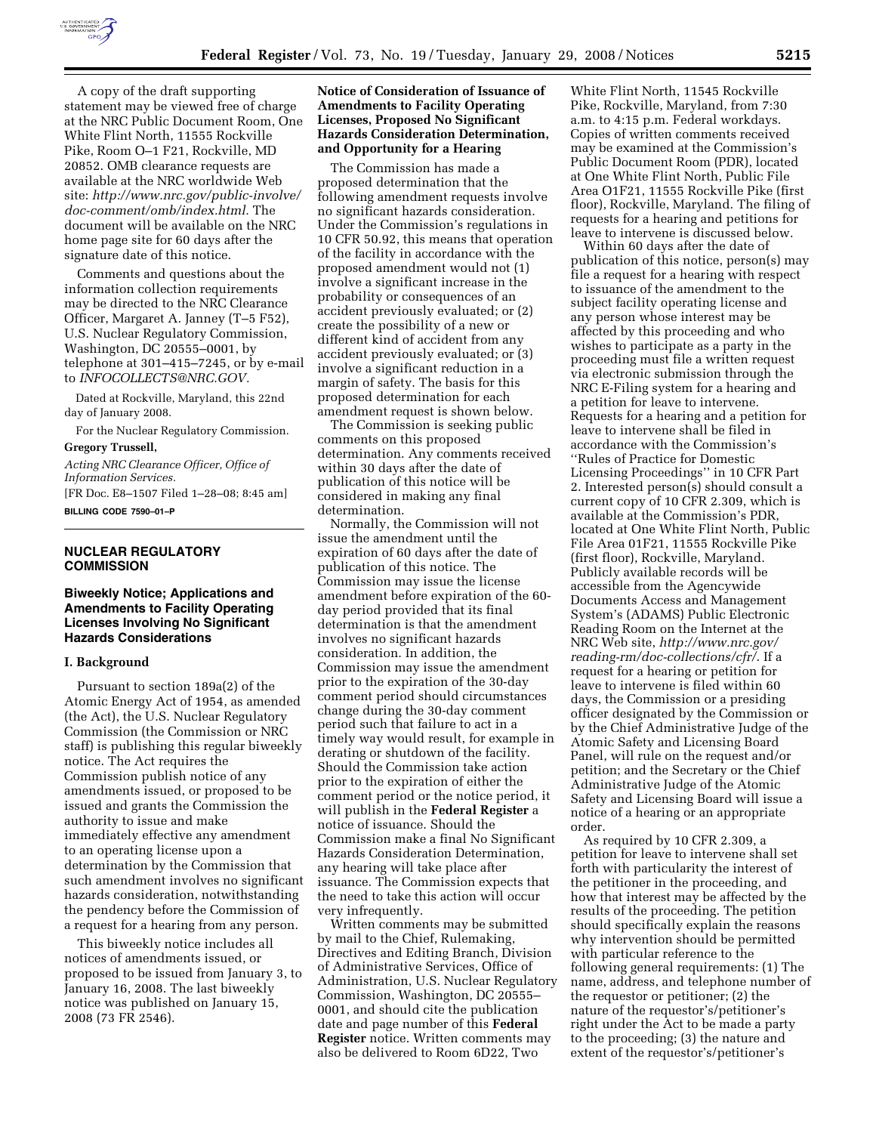

A copy of the draft supporting statement may be viewed free of charge at the NRC Public Document Room, One White Flint North, 11555 Rockville Pike, Room O–1 F21, Rockville, MD 20852. OMB clearance requests are available at the NRC worldwide Web site: *http://www.nrc.gov/public-involve/ doc-comment/omb/index.html.* The document will be available on the NRC home page site for 60 days after the signature date of this notice.

Comments and questions about the information collection requirements may be directed to the NRC Clearance Officer, Margaret A. Janney (T–5 F52), U.S. Nuclear Regulatory Commission, Washington, DC 20555–0001, by telephone at 301–415–7245, or by e-mail to *INFOCOLLECTS@NRC.GOV.* 

Dated at Rockville, Maryland, this 22nd day of January 2008.

For the Nuclear Regulatory Commission. **Gregory Trussell,** 

*Acting NRC Clearance Officer, Office of Information Services.*  [FR Doc. E8–1507 Filed 1–28–08; 8:45 am]

**BILLING CODE 7590–01–P** 

# **NUCLEAR REGULATORY COMMISSION**

# **Biweekly Notice; Applications and Amendments to Facility Operating Licenses Involving No Significant Hazards Considerations**

# **I. Background**

Pursuant to section 189a(2) of the Atomic Energy Act of 1954, as amended (the Act), the U.S. Nuclear Regulatory Commission (the Commission or NRC staff) is publishing this regular biweekly notice. The Act requires the Commission publish notice of any amendments issued, or proposed to be issued and grants the Commission the authority to issue and make immediately effective any amendment to an operating license upon a determination by the Commission that such amendment involves no significant hazards consideration, notwithstanding the pendency before the Commission of a request for a hearing from any person.

This biweekly notice includes all notices of amendments issued, or proposed to be issued from January 3, to January 16, 2008. The last biweekly notice was published on January 15, 2008 (73 FR 2546).

# **Notice of Consideration of Issuance of Amendments to Facility Operating Licenses, Proposed No Significant Hazards Consideration Determination, and Opportunity for a Hearing**

The Commission has made a proposed determination that the following amendment requests involve no significant hazards consideration. Under the Commission's regulations in 10 CFR 50.92, this means that operation of the facility in accordance with the proposed amendment would not (1) involve a significant increase in the probability or consequences of an accident previously evaluated; or (2) create the possibility of a new or different kind of accident from any accident previously evaluated; or (3) involve a significant reduction in a margin of safety. The basis for this proposed determination for each amendment request is shown below.

The Commission is seeking public comments on this proposed determination. Any comments received within 30 days after the date of publication of this notice will be considered in making any final determination.

Normally, the Commission will not issue the amendment until the expiration of 60 days after the date of publication of this notice. The Commission may issue the license amendment before expiration of the 60 day period provided that its final determination is that the amendment involves no significant hazards consideration. In addition, the Commission may issue the amendment prior to the expiration of the 30-day comment period should circumstances change during the 30-day comment period such that failure to act in a timely way would result, for example in derating or shutdown of the facility. Should the Commission take action prior to the expiration of either the comment period or the notice period, it will publish in the **Federal Register** a notice of issuance. Should the Commission make a final No Significant Hazards Consideration Determination, any hearing will take place after issuance. The Commission expects that the need to take this action will occur very infrequently.

Written comments may be submitted by mail to the Chief, Rulemaking, Directives and Editing Branch, Division of Administrative Services, Office of Administration, U.S. Nuclear Regulatory Commission, Washington, DC 20555– 0001, and should cite the publication date and page number of this **Federal Register** notice. Written comments may also be delivered to Room 6D22, Two

White Flint North, 11545 Rockville Pike, Rockville, Maryland, from 7:30 a.m. to 4:15 p.m. Federal workdays. Copies of written comments received may be examined at the Commission's Public Document Room (PDR), located at One White Flint North, Public File Area O1F21, 11555 Rockville Pike (first floor), Rockville, Maryland. The filing of requests for a hearing and petitions for leave to intervene is discussed below.

Within 60 days after the date of publication of this notice, person(s) may file a request for a hearing with respect to issuance of the amendment to the subject facility operating license and any person whose interest may be affected by this proceeding and who wishes to participate as a party in the proceeding must file a written request via electronic submission through the NRC E-Filing system for a hearing and a petition for leave to intervene. Requests for a hearing and a petition for leave to intervene shall be filed in accordance with the Commission's ''Rules of Practice for Domestic Licensing Proceedings'' in 10 CFR Part 2. Interested person(s) should consult a current copy of 10 CFR 2.309, which is available at the Commission's PDR, located at One White Flint North, Public File Area 01F21, 11555 Rockville Pike (first floor), Rockville, Maryland. Publicly available records will be accessible from the Agencywide Documents Access and Management System's (ADAMS) Public Electronic Reading Room on the Internet at the NRC Web site, *http://www.nrc.gov/ reading-rm/doc-collections/cfr/*. If a request for a hearing or petition for leave to intervene is filed within 60 days, the Commission or a presiding officer designated by the Commission or by the Chief Administrative Judge of the Atomic Safety and Licensing Board Panel, will rule on the request and/or petition; and the Secretary or the Chief Administrative Judge of the Atomic Safety and Licensing Board will issue a notice of a hearing or an appropriate order.

As required by 10 CFR 2.309, a petition for leave to intervene shall set forth with particularity the interest of the petitioner in the proceeding, and how that interest may be affected by the results of the proceeding. The petition should specifically explain the reasons why intervention should be permitted with particular reference to the following general requirements: (1) The name, address, and telephone number of the requestor or petitioner; (2) the nature of the requestor's/petitioner's right under the Act to be made a party to the proceeding; (3) the nature and extent of the requestor's/petitioner's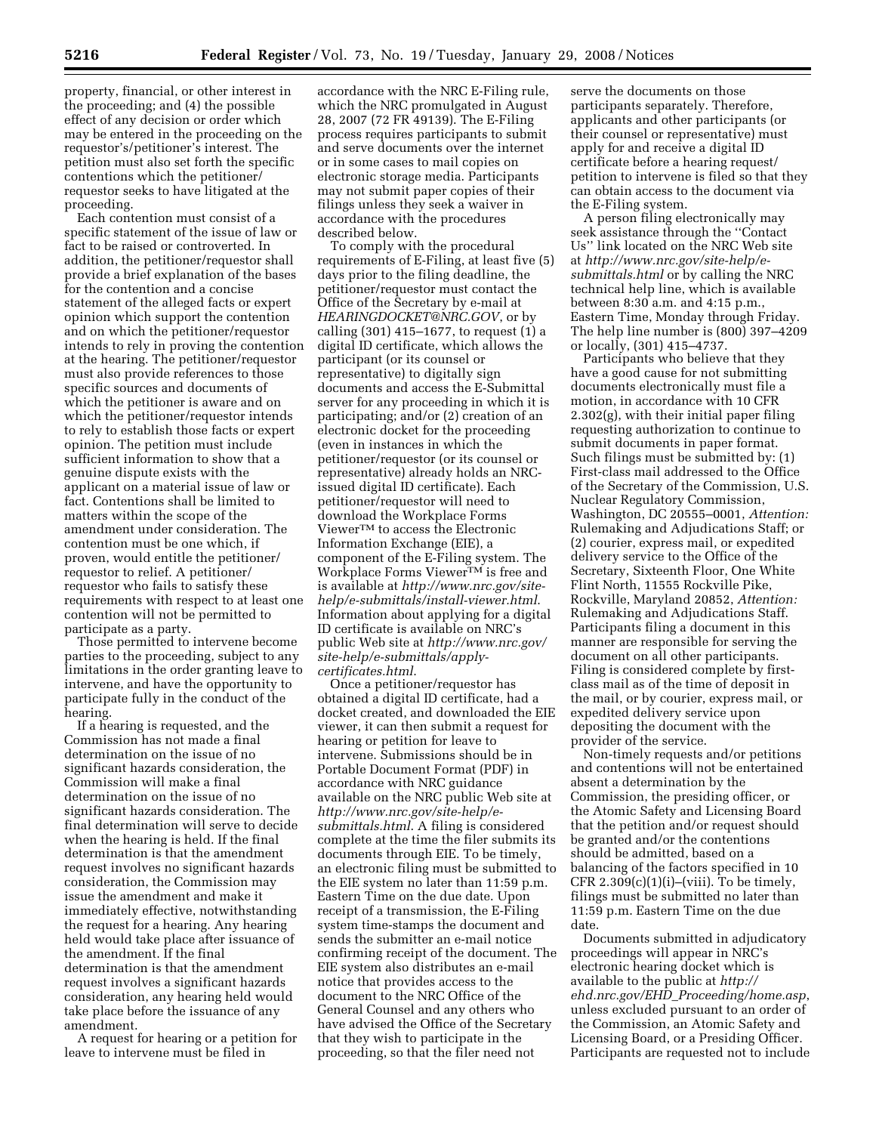property, financial, or other interest in the proceeding; and (4) the possible effect of any decision or order which may be entered in the proceeding on the requestor's/petitioner's interest. The petition must also set forth the specific contentions which the petitioner/ requestor seeks to have litigated at the proceeding.

Each contention must consist of a specific statement of the issue of law or fact to be raised or controverted. In addition, the petitioner/requestor shall provide a brief explanation of the bases for the contention and a concise statement of the alleged facts or expert opinion which support the contention and on which the petitioner/requestor intends to rely in proving the contention at the hearing. The petitioner/requestor must also provide references to those specific sources and documents of which the petitioner is aware and on which the petitioner/requestor intends to rely to establish those facts or expert opinion. The petition must include sufficient information to show that a genuine dispute exists with the applicant on a material issue of law or fact. Contentions shall be limited to matters within the scope of the amendment under consideration. The contention must be one which, if proven, would entitle the petitioner/ requestor to relief. A petitioner/ requestor who fails to satisfy these requirements with respect to at least one contention will not be permitted to participate as a party.

Those permitted to intervene become parties to the proceeding, subject to any limitations in the order granting leave to intervene, and have the opportunity to participate fully in the conduct of the hearing.

If a hearing is requested, and the Commission has not made a final determination on the issue of no significant hazards consideration, the Commission will make a final determination on the issue of no significant hazards consideration. The final determination will serve to decide when the hearing is held. If the final determination is that the amendment request involves no significant hazards consideration, the Commission may issue the amendment and make it immediately effective, notwithstanding the request for a hearing. Any hearing held would take place after issuance of the amendment. If the final determination is that the amendment request involves a significant hazards consideration, any hearing held would take place before the issuance of any amendment.

A request for hearing or a petition for leave to intervene must be filed in

accordance with the NRC E-Filing rule, which the NRC promulgated in August 28, 2007 (72 FR 49139). The E-Filing process requires participants to submit and serve documents over the internet or in some cases to mail copies on electronic storage media. Participants may not submit paper copies of their filings unless they seek a waiver in accordance with the procedures described below.

To comply with the procedural requirements of E-Filing, at least five (5) days prior to the filing deadline, the petitioner/requestor must contact the Office of the Secretary by e-mail at *HEARINGDOCKET@NRC.GOV*, or by calling (301) 415–1677, to request (1) a digital ID certificate, which allows the participant (or its counsel or representative) to digitally sign documents and access the E-Submittal server for any proceeding in which it is participating; and/or (2) creation of an electronic docket for the proceeding (even in instances in which the petitioner/requestor (or its counsel or representative) already holds an NRCissued digital ID certificate). Each petitioner/requestor will need to download the Workplace Forms ViewerTM to access the Electronic Information Exchange (EIE), a component of the E-Filing system. The Workplace Forms ViewerTM is free and is available at *http://www.nrc.gov/sitehelp/e-submittals/install-viewer.html*. Information about applying for a digital ID certificate is available on NRC's public Web site at *http://www.nrc.gov/ site-help/e-submittals/applycertificates.html*.

Once a petitioner/requestor has obtained a digital ID certificate, had a docket created, and downloaded the EIE viewer, it can then submit a request for hearing or petition for leave to intervene. Submissions should be in Portable Document Format (PDF) in accordance with NRC guidance available on the NRC public Web site at *http://www.nrc.gov/site-help/esubmittals.html*. A filing is considered complete at the time the filer submits its documents through EIE. To be timely, an electronic filing must be submitted to the EIE system no later than 11:59 p.m. Eastern Time on the due date. Upon receipt of a transmission, the E-Filing system time-stamps the document and sends the submitter an e-mail notice confirming receipt of the document. The EIE system also distributes an e-mail notice that provides access to the document to the NRC Office of the General Counsel and any others who have advised the Office of the Secretary that they wish to participate in the proceeding, so that the filer need not

serve the documents on those participants separately. Therefore, applicants and other participants (or their counsel or representative) must apply for and receive a digital ID certificate before a hearing request/ petition to intervene is filed so that they can obtain access to the document via the E-Filing system.

A person filing electronically may seek assistance through the ''Contact Us'' link located on the NRC Web site at *http://www.nrc.gov/site-help/esubmittals.html* or by calling the NRC technical help line, which is available between 8:30 a.m. and 4:15 p.m., Eastern Time, Monday through Friday. The help line number is (800) 397–4209 or locally, (301) 415–4737.

Participants who believe that they have a good cause for not submitting documents electronically must file a motion, in accordance with 10 CFR 2.302(g), with their initial paper filing requesting authorization to continue to submit documents in paper format. Such filings must be submitted by: (1) First-class mail addressed to the Office of the Secretary of the Commission, U.S. Nuclear Regulatory Commission, Washington, DC 20555–0001, *Attention:*  Rulemaking and Adjudications Staff; or (2) courier, express mail, or expedited delivery service to the Office of the Secretary, Sixteenth Floor, One White Flint North, 11555 Rockville Pike, Rockville, Maryland 20852, *Attention:*  Rulemaking and Adjudications Staff. Participants filing a document in this manner are responsible for serving the document on all other participants. Filing is considered complete by firstclass mail as of the time of deposit in the mail, or by courier, express mail, or expedited delivery service upon depositing the document with the provider of the service.

Non-timely requests and/or petitions and contentions will not be entertained absent a determination by the Commission, the presiding officer, or the Atomic Safety and Licensing Board that the petition and/or request should be granted and/or the contentions should be admitted, based on a balancing of the factors specified in 10 CFR  $2.309(c)(1)(i)$ –(viii). To be timely, filings must be submitted no later than 11:59 p.m. Eastern Time on the due date.

Documents submitted in adjudicatory proceedings will appear in NRC's electronic hearing docket which is available to the public at *http:// ehd.nrc.gov/EHD*\_*Proceeding/home.asp*, unless excluded pursuant to an order of the Commission, an Atomic Safety and Licensing Board, or a Presiding Officer. Participants are requested not to include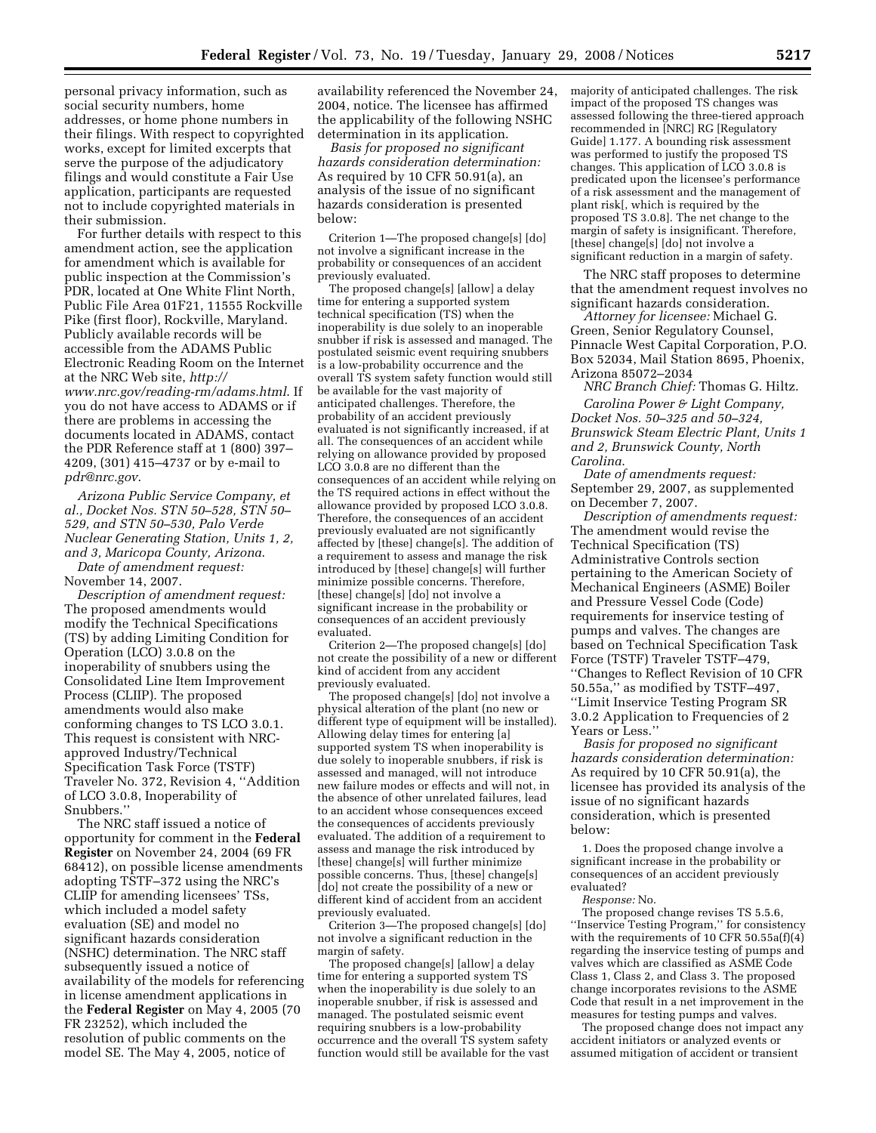personal privacy information, such as social security numbers, home addresses, or home phone numbers in their filings. With respect to copyrighted works, except for limited excerpts that serve the purpose of the adjudicatory filings and would constitute a Fair Use application, participants are requested not to include copyrighted materials in their submission.

For further details with respect to this amendment action, see the application for amendment which is available for public inspection at the Commission's PDR, located at One White Flint North, Public File Area 01F21, 11555 Rockville Pike (first floor), Rockville, Maryland. Publicly available records will be accessible from the ADAMS Public Electronic Reading Room on the Internet at the NRC Web site, *http:// www.nrc.gov/reading-rm/adams.html*. If you do not have access to ADAMS or if there are problems in accessing the documents located in ADAMS, contact the PDR Reference staff at 1 (800) 397– 4209, (301) 415–4737 or by e-mail to *pdr@nrc.gov*.

*Arizona Public Service Company, et al., Docket Nos. STN 50–528, STN 50– 529, and STN 50–530, Palo Verde Nuclear Generating Station, Units 1, 2, and 3, Maricopa County, Arizona*. *Date of amendment request:* 

November 14, 2007. *Description of amendment request:*  The proposed amendments would modify the Technical Specifications (TS) by adding Limiting Condition for Operation (LCO) 3.0.8 on the inoperability of snubbers using the Consolidated Line Item Improvement Process (CLIIP). The proposed

amendments would also make conforming changes to TS LCO 3.0.1. This request is consistent with NRCapproved Industry/Technical Specification Task Force (TSTF) Traveler No. 372, Revision 4, ''Addition of LCO 3.0.8, Inoperability of Snubbers.''

The NRC staff issued a notice of opportunity for comment in the **Federal Register** on November 24, 2004 (69 FR 68412), on possible license amendments adopting TSTF–372 using the NRC's CLIIP for amending licensees' TSs, which included a model safety evaluation (SE) and model no significant hazards consideration (NSHC) determination. The NRC staff subsequently issued a notice of availability of the models for referencing in license amendment applications in the **Federal Register** on May 4, 2005 (70 FR 23252), which included the resolution of public comments on the model SE. The May 4, 2005, notice of

availability referenced the November 24, 2004, notice. The licensee has affirmed the applicability of the following NSHC determination in its application.

*Basis for proposed no significant hazards consideration determination:*  As required by 10 CFR 50.91(a), an analysis of the issue of no significant hazards consideration is presented below:

Criterion 1—The proposed change[s] [do] not involve a significant increase in the probability or consequences of an accident previously evaluated.

The proposed change[s] [allow] a delay time for entering a supported system technical specification (TS) when the inoperability is due solely to an inoperable snubber if risk is assessed and managed. The postulated seismic event requiring snubbers is a low-probability occurrence and the overall TS system safety function would still be available for the vast majority of anticipated challenges. Therefore, the probability of an accident previously evaluated is not significantly increased, if at all. The consequences of an accident while relying on allowance provided by proposed LCO 3.0.8 are no different than the consequences of an accident while relying on the TS required actions in effect without the allowance provided by proposed LCO 3.0.8. Therefore, the consequences of an accident previously evaluated are not significantly affected by [these] change[s]. The addition of a requirement to assess and manage the risk introduced by [these] change[s] will further minimize possible concerns. Therefore, [these] change[s] [do] not involve a significant increase in the probability or consequences of an accident previously evaluated.

Criterion 2—The proposed change[s] [do] not create the possibility of a new or different kind of accident from any accident previously evaluated.

The proposed change[s] [do] not involve a physical alteration of the plant (no new or different type of equipment will be installed). Allowing delay times for entering [a] supported system TS when inoperability is due solely to inoperable snubbers, if risk is assessed and managed, will not introduce new failure modes or effects and will not, in the absence of other unrelated failures, lead to an accident whose consequences exceed the consequences of accidents previously evaluated. The addition of a requirement to assess and manage the risk introduced by [these] change[s] will further minimize possible concerns. Thus, [these] change[s] [do] not create the possibility of a new or different kind of accident from an accident previously evaluated.

Criterion 3—The proposed change[s] [do] not involve a significant reduction in the margin of safety.

The proposed change[s] [allow] a delay time for entering a supported system TS when the inoperability is due solely to an inoperable snubber, if risk is assessed and managed. The postulated seismic event requiring snubbers is a low-probability occurrence and the overall TS system safety function would still be available for the vast majority of anticipated challenges. The risk impact of the proposed TS changes was assessed following the three-tiered approach recommended in [NRC] RG [Regulatory Guide] 1.177. A bounding risk assessment was performed to justify the proposed TS changes. This application of LCO 3.0.8 is predicated upon the licensee's performance of a risk assessment and the management of plant risk[, which is required by the proposed TS 3.0.8]. The net change to the margin of safety is insignificant. Therefore, [these] change[s] [do] not involve a significant reduction in a margin of safety.

The NRC staff proposes to determine that the amendment request involves no significant hazards consideration.

*Attorney for licensee:* Michael G. Green, Senior Regulatory Counsel, Pinnacle West Capital Corporation, P.O. Box 52034, Mail Station 8695, Phoenix, Arizona 85072–2034

*NRC Branch Chief:* Thomas G. Hiltz.

*Carolina Power & Light Company, Docket Nos. 50–325 and 50–324, Brunswick Steam Electric Plant, Units 1 and 2, Brunswick County, North Carolina*.

*Date of amendments request:*  September 29, 2007, as supplemented on December 7, 2007.

*Description of amendments request:*  The amendment would revise the Technical Specification (TS) Administrative Controls section pertaining to the American Society of Mechanical Engineers (ASME) Boiler and Pressure Vessel Code (Code) requirements for inservice testing of pumps and valves. The changes are based on Technical Specification Task Force (TSTF) Traveler TSTF–479, ''Changes to Reflect Revision of 10 CFR 50.55a,'' as modified by TSTF–497, ''Limit Inservice Testing Program SR 3.0.2 Application to Frequencies of 2 Years or Less.''

*Basis for proposed no significant hazards consideration determination:*  As required by 10 CFR 50.91(a), the licensee has provided its analysis of the issue of no significant hazards consideration, which is presented below:

1. Does the proposed change involve a significant increase in the probability or consequences of an accident previously evaluated?

*Response:* No.

The proposed change revises TS 5.5.6, ''Inservice Testing Program,'' for consistency with the requirements of 10 CFR 50.55a(f)(4) regarding the inservice testing of pumps and valves which are classified as ASME Code Class 1, Class 2, and Class 3. The proposed change incorporates revisions to the ASME Code that result in a net improvement in the measures for testing pumps and valves.

The proposed change does not impact any accident initiators or analyzed events or assumed mitigation of accident or transient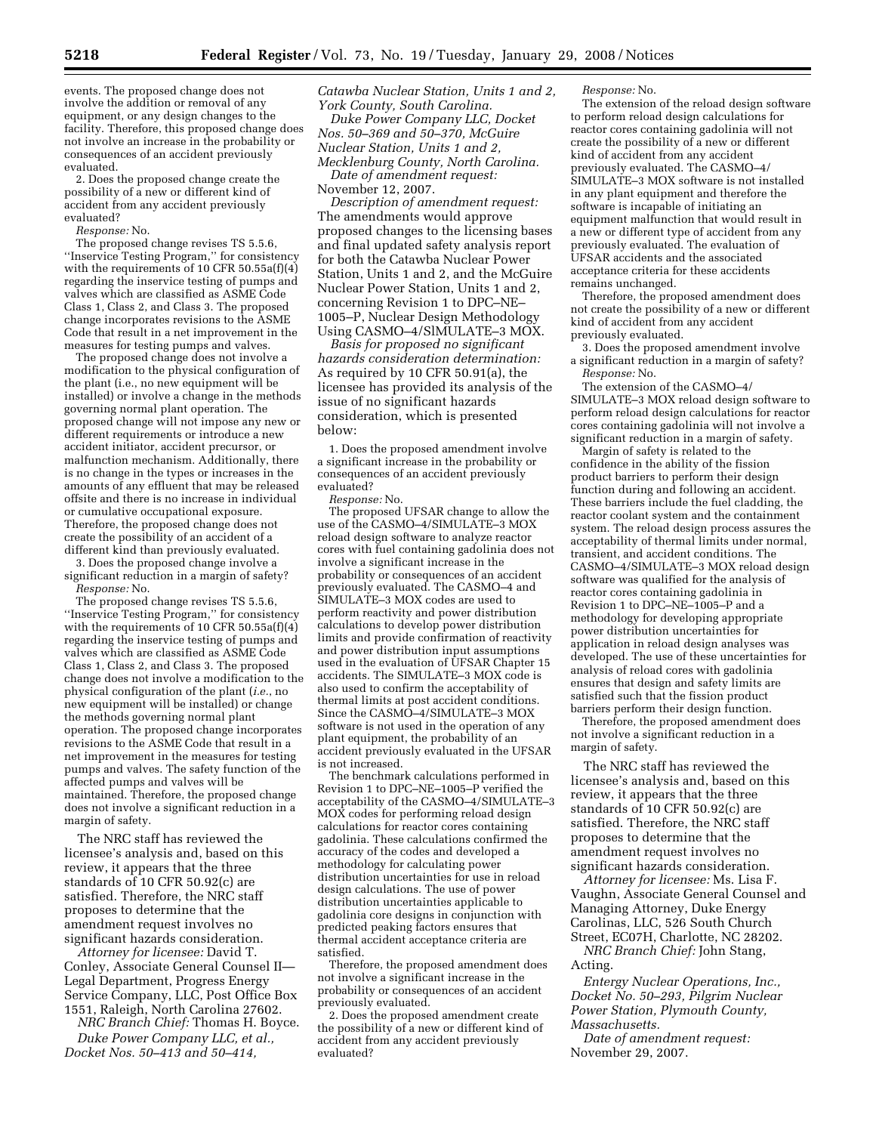events. The proposed change does not involve the addition or removal of any equipment, or any design changes to the facility. Therefore, this proposed change does not involve an increase in the probability or consequences of an accident previously evaluated.

2. Does the proposed change create the possibility of a new or different kind of accident from any accident previously evaluated?

*Response:* No.

The proposed change revises TS 5.5.6, ''Inservice Testing Program,'' for consistency with the requirements of 10 CFR 50.55a(f)(4) regarding the inservice testing of pumps and valves which are classified as ASME Code Class 1, Class 2, and Class 3. The proposed change incorporates revisions to the ASME Code that result in a net improvement in the measures for testing pumps and valves.

The proposed change does not involve a modification to the physical configuration of the plant (i.e., no new equipment will be installed) or involve a change in the methods governing normal plant operation. The proposed change will not impose any new or different requirements or introduce a new accident initiator, accident precursor, or malfunction mechanism. Additionally, there is no change in the types or increases in the amounts of any effluent that may be released offsite and there is no increase in individual or cumulative occupational exposure. Therefore, the proposed change does not create the possibility of an accident of a different kind than previously evaluated.

3. Does the proposed change involve a significant reduction in a margin of safety? *Response:* No.

The proposed change revises TS 5.5.6, ''Inservice Testing Program,'' for consistency with the requirements of 10 CFR 50.55a(f)(4) regarding the inservice testing of pumps and valves which are classified as ASME Code Class 1, Class 2, and Class 3. The proposed change does not involve a modification to the physical configuration of the plant (*i.e.*, no new equipment will be installed) or change the methods governing normal plant operation. The proposed change incorporates revisions to the ASME Code that result in a net improvement in the measures for testing pumps and valves. The safety function of the affected pumps and valves will be maintained. Therefore, the proposed change does not involve a significant reduction in a margin of safety.

The NRC staff has reviewed the licensee's analysis and, based on this review, it appears that the three standards of 10 CFR 50.92(c) are satisfied. Therefore, the NRC staff proposes to determine that the amendment request involves no significant hazards consideration.

*Attorney for licensee:* David T. Conley, Associate General Counsel II— Legal Department, Progress Energy Service Company, LLC, Post Office Box 1551, Raleigh, North Carolina 27602.

*NRC Branch Chief:* Thomas H. Boyce. *Duke Power Company LLC, et al.,* 

*Docket Nos. 50–413 and 50–414,* 

*Catawba Nuclear Station, Units 1 and 2, York County, South Carolina.* 

*Duke Power Company LLC, Docket Nos. 50–369 and 50–370, McGuire Nuclear Station, Units 1 and 2, Mecklenburg County, North Carolina.* 

*Date of amendment request:*  November 12, 2007.

*Description of amendment request:*  The amendments would approve proposed changes to the licensing bases and final updated safety analysis report for both the Catawba Nuclear Power Station, Units 1 and 2, and the McGuire Nuclear Power Station, Units 1 and 2, concerning Revision 1 to DPC–NE– 1005–P, Nuclear Design Methodology Using CASMO–4/SlMULATE–3 MOX.

*Basis for proposed no significant hazards consideration determination:*  As required by 10 CFR 50.91(a), the licensee has provided its analysis of the issue of no significant hazards consideration, which is presented below:

1. Does the proposed amendment involve a significant increase in the probability or consequences of an accident previously evaluated?

*Response:* No.

The proposed UFSAR change to allow the use of the CASMO–4/SIMULATE–3 MOX reload design software to analyze reactor cores with fuel containing gadolinia does not involve a significant increase in the probability or consequences of an accident previously evaluated. The CASMO–4 and SIMULATE–3 MOX codes are used to perform reactivity and power distribution calculations to develop power distribution limits and provide confirmation of reactivity and power distribution input assumptions used in the evaluation of UFSAR Chapter 15 accidents. The SIMULATE–3 MOX code is also used to confirm the acceptability of thermal limits at post accident conditions. Since the CASMO–4/SIMULATE–3 MOX software is not used in the operation of any plant equipment, the probability of an accident previously evaluated in the UFSAR is not increased.

The benchmark calculations performed in Revision 1 to DPC–NE–1005–P verified the acceptability of the CASMO–4/SIMULATE–3 MOX codes for performing reload design calculations for reactor cores containing gadolinia. These calculations confirmed the accuracy of the codes and developed a methodology for calculating power distribution uncertainties for use in reload design calculations. The use of power distribution uncertainties applicable to gadolinia core designs in conjunction with predicted peaking factors ensures that thermal accident acceptance criteria are satisfied.

Therefore, the proposed amendment does not involve a significant increase in the probability or consequences of an accident previously evaluated.

2. Does the proposed amendment create the possibility of a new or different kind of accident from any accident previously evaluated?

*Response:* No.

The extension of the reload design software to perform reload design calculations for reactor cores containing gadolinia will not create the possibility of a new or different kind of accident from any accident previously evaluated. The CASMO–4/ SIMULATE–3 MOX software is not installed in any plant equipment and therefore the software is incapable of initiating an equipment malfunction that would result in a new or different type of accident from any previously evaluated. The evaluation of UFSAR accidents and the associated acceptance criteria for these accidents remains unchanged.

Therefore, the proposed amendment does not create the possibility of a new or different kind of accident from any accident previously evaluated.

3. Does the proposed amendment involve a significant reduction in a margin of safety? *Response:* No.

The extension of the CASMO–4/ SIMULATE–3 MOX reload design software to perform reload design calculations for reactor cores containing gadolinia will not involve a significant reduction in a margin of safety.

Margin of safety is related to the confidence in the ability of the fission product barriers to perform their design function during and following an accident. These barriers include the fuel cladding, the reactor coolant system and the containment system. The reload design process assures the acceptability of thermal limits under normal, transient, and accident conditions. The CASMO–4/SIMULATE–3 MOX reload design software was qualified for the analysis of reactor cores containing gadolinia in Revision 1 to DPC–NE–1005–P and a methodology for developing appropriate power distribution uncertainties for application in reload design analyses was developed. The use of these uncertainties for analysis of reload cores with gadolinia ensures that design and safety limits are satisfied such that the fission product barriers perform their design function.

Therefore, the proposed amendment does not involve a significant reduction in a margin of safety.

The NRC staff has reviewed the licensee's analysis and, based on this review, it appears that the three standards of 10 CFR 50.92(c) are satisfied. Therefore, the NRC staff proposes to determine that the amendment request involves no significant hazards consideration.

*Attorney for licensee:* Ms. Lisa F. Vaughn, Associate General Counsel and Managing Attorney, Duke Energy Carolinas, LLC, 526 South Church Street, EC07H, Charlotte, NC 28202.

*NRC Branch Chief:* John Stang, Acting.

*Entergy Nuclear Operations, Inc., Docket No. 50–293, Pilgrim Nuclear Power Station, Plymouth County, Massachusetts.* 

*Date of amendment request:*  November 29, 2007.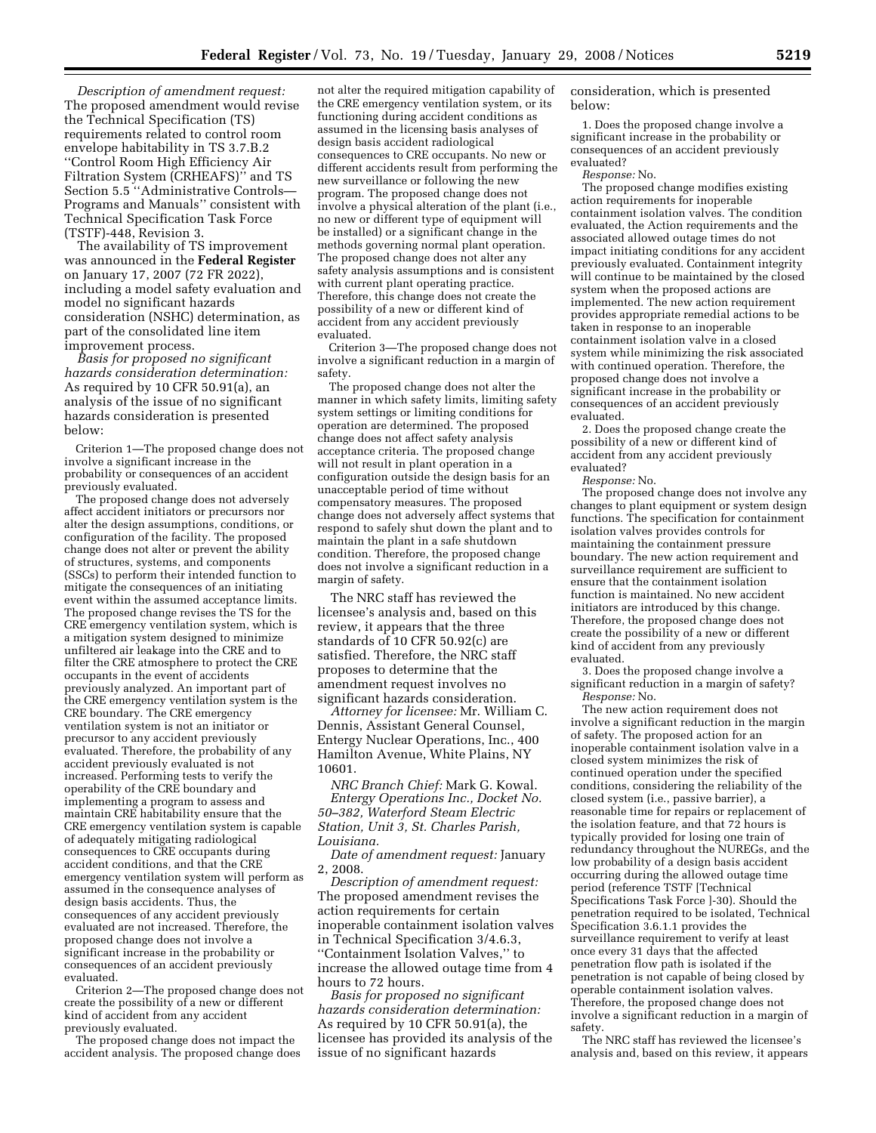*Description of amendment request:*  The proposed amendment would revise the Technical Specification (TS) requirements related to control room envelope habitability in TS 3.7.B.2 ''Control Room High Efficiency Air Filtration System (CRHEAFS)'' and TS Section 5.5 ''Administrative Controls— Programs and Manuals'' consistent with Technical Specification Task Force (TSTF)-448, Revision 3.

The availability of TS improvement was announced in the **Federal Register**  on January 17, 2007 (72 FR 2022), including a model safety evaluation and model no significant hazards consideration (NSHC) determination, as part of the consolidated line item improvement process.

*Basis for proposed no significant hazards consideration determination:*  As required by 10 CFR 50.91(a), an analysis of the issue of no significant hazards consideration is presented below:

Criterion 1—The proposed change does not involve a significant increase in the probability or consequences of an accident previously evaluated.

The proposed change does not adversely affect accident initiators or precursors nor alter the design assumptions, conditions, or configuration of the facility. The proposed change does not alter or prevent the ability of structures, systems, and components (SSCs) to perform their intended function to mitigate the consequences of an initiating event within the assumed acceptance limits. The proposed change revises the TS for the CRE emergency ventilation system, which is a mitigation system designed to minimize unfiltered air leakage into the CRE and to filter the CRE atmosphere to protect the CRE occupants in the event of accidents previously analyzed. An important part of the CRE emergency ventilation system is the CRE boundary. The CRE emergency ventilation system is not an initiator or precursor to any accident previously evaluated. Therefore, the probability of any accident previously evaluated is not increased. Performing tests to verify the operability of the CRE boundary and implementing a program to assess and maintain CRE habitability ensure that the CRE emergency ventilation system is capable of adequately mitigating radiological consequences to CRE occupants during accident conditions, and that the CRE emergency ventilation system will perform as assumed in the consequence analyses of design basis accidents. Thus, the consequences of any accident previously evaluated are not increased. Therefore, the proposed change does not involve a significant increase in the probability or consequences of an accident previously evaluated.

Criterion 2—The proposed change does not create the possibility of a new or different kind of accident from any accident previously evaluated.

The proposed change does not impact the accident analysis. The proposed change does

not alter the required mitigation capability of the CRE emergency ventilation system, or its functioning during accident conditions as assumed in the licensing basis analyses of design basis accident radiological consequences to CRE occupants. No new or different accidents result from performing the new surveillance or following the new program. The proposed change does not involve a physical alteration of the plant (i.e., no new or different type of equipment will be installed) or a significant change in the methods governing normal plant operation. The proposed change does not alter any safety analysis assumptions and is consistent with current plant operating practice. Therefore, this change does not create the possibility of a new or different kind of accident from any accident previously evaluated.

Criterion 3—The proposed change does not involve a significant reduction in a margin of safety.

The proposed change does not alter the manner in which safety limits, limiting safety system settings or limiting conditions for operation are determined. The proposed change does not affect safety analysis acceptance criteria. The proposed change will not result in plant operation in a configuration outside the design basis for an unacceptable period of time without compensatory measures. The proposed change does not adversely affect systems that respond to safely shut down the plant and to maintain the plant in a safe shutdown condition. Therefore, the proposed change does not involve a significant reduction in a margin of safety.

The NRC staff has reviewed the licensee's analysis and, based on this review, it appears that the three standards of 10 CFR 50.92(c) are satisfied. Therefore, the NRC staff proposes to determine that the amendment request involves no significant hazards consideration.

*Attorney for licensee:* Mr. William C. Dennis, Assistant General Counsel, Entergy Nuclear Operations, Inc., 400 Hamilton Avenue, White Plains, NY 10601.

*NRC Branch Chief:* Mark G. Kowal. *Entergy Operations Inc., Docket No. 50–382, Waterford Steam Electric Station, Unit 3, St. Charles Parish, Louisiana.* 

*Date of amendment request:* January 2, 2008.

*Description of amendment request:*  The proposed amendment revises the action requirements for certain inoperable containment isolation valves in Technical Specification 3/4.6.3, ''Containment Isolation Valves,'' to increase the allowed outage time from 4 hours to 72 hours.

*Basis for proposed no significant hazards consideration determination:*  As required by 10 CFR 50.91(a), the licensee has provided its analysis of the issue of no significant hazards

consideration, which is presented below:

1. Does the proposed change involve a significant increase in the probability or consequences of an accident previously evaluated?

*Response:* No.

The proposed change modifies existing action requirements for inoperable containment isolation valves. The condition evaluated, the Action requirements and the associated allowed outage times do not impact initiating conditions for any accident previously evaluated. Containment integrity will continue to be maintained by the closed system when the proposed actions are implemented. The new action requirement provides appropriate remedial actions to be taken in response to an inoperable containment isolation valve in a closed system while minimizing the risk associated with continued operation. Therefore, the proposed change does not involve a significant increase in the probability or consequences of an accident previously evaluated.

2. Does the proposed change create the possibility of a new or different kind of accident from any accident previously evaluated?

*Response:* No.

The proposed change does not involve any changes to plant equipment or system design functions. The specification for containment isolation valves provides controls for maintaining the containment pressure boundary. The new action requirement and surveillance requirement are sufficient to ensure that the containment isolation function is maintained. No new accident initiators are introduced by this change. Therefore, the proposed change does not create the possibility of a new or different kind of accident from any previously evaluated.

3. Does the proposed change involve a significant reduction in a margin of safety? *Response:* No.

The new action requirement does not involve a significant reduction in the margin of safety. The proposed action for an inoperable containment isolation valve in a closed system minimizes the risk of continued operation under the specified conditions, considering the reliability of the closed system (i.e., passive barrier), a reasonable time for repairs or replacement of the isolation feature, and that 72 hours is typically provided for losing one train of redundancy throughout the NUREGs, and the low probability of a design basis accident occurring during the allowed outage time period (reference TSTF [Technical Specifications Task Force ]-30). Should the penetration required to be isolated, Technical Specification 3.6.1.1 provides the surveillance requirement to verify at least once every 31 days that the affected penetration flow path is isolated if the penetration is not capable of being closed by operable containment isolation valves. Therefore, the proposed change does not involve a significant reduction in a margin of safety.

The NRC staff has reviewed the licensee's analysis and, based on this review, it appears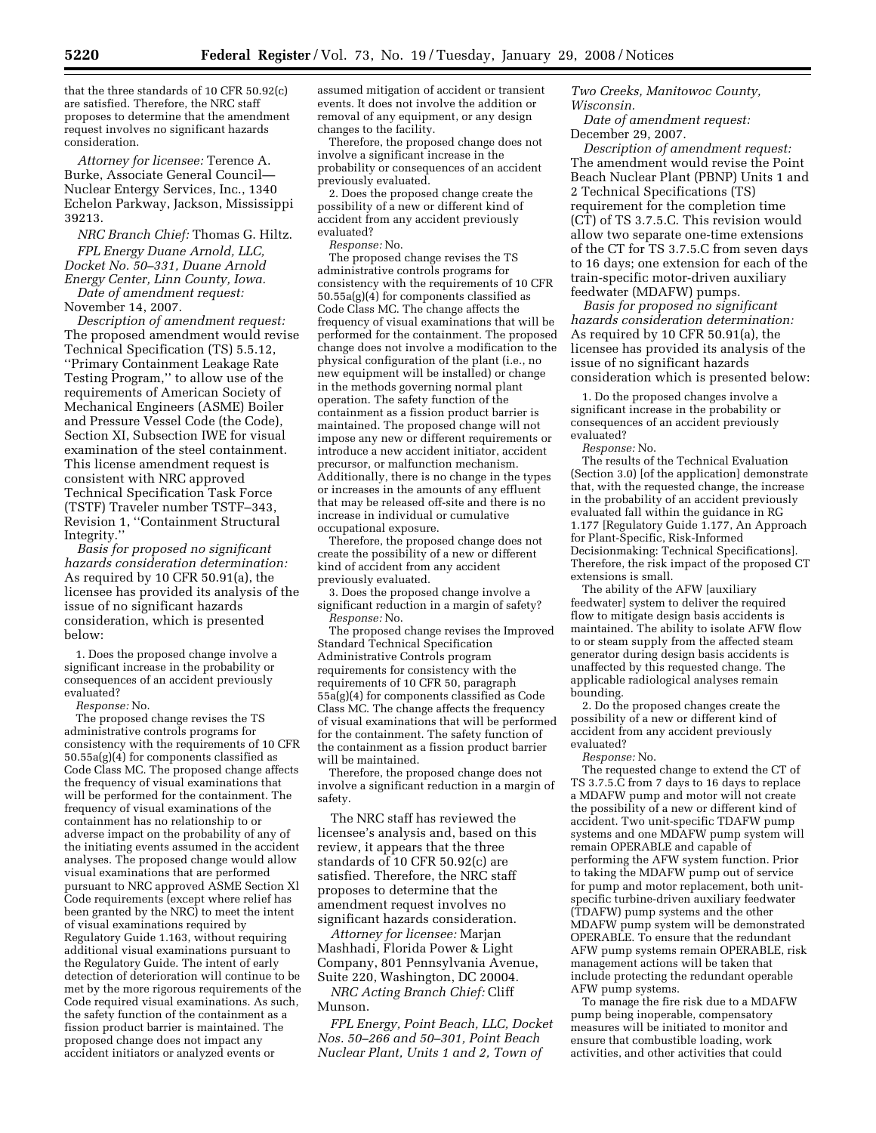that the three standards of 10 CFR 50.92(c) are satisfied. Therefore, the NRC staff proposes to determine that the amendment request involves no significant hazards consideration.

*Attorney for licensee:* Terence A. Burke, Associate General Council— Nuclear Entergy Services, Inc., 1340 Echelon Parkway, Jackson, Mississippi 39213.

*NRC Branch Chief:* Thomas G. Hiltz. *FPL Energy Duane Arnold, LLC, Docket No. 50–331, Duane Arnold Energy Center, Linn County, Iowa. Date of amendment request:* 

November 14, 2007.

*Description of amendment request:*  The proposed amendment would revise Technical Specification (TS) 5.5.12, ''Primary Containment Leakage Rate Testing Program,'' to allow use of the requirements of American Society of Mechanical Engineers (ASME) Boiler and Pressure Vessel Code (the Code), Section XI, Subsection IWE for visual examination of the steel containment. This license amendment request is consistent with NRC approved Technical Specification Task Force (TSTF) Traveler number TSTF–343, Revision 1, ''Containment Structural Integrity.''

*Basis for proposed no significant hazards consideration determination:*  As required by 10 CFR 50.91(a), the licensee has provided its analysis of the issue of no significant hazards consideration, which is presented below:

1. Does the proposed change involve a significant increase in the probability or consequences of an accident previously evaluated?

*Response:* No.

The proposed change revises the TS administrative controls programs for consistency with the requirements of 10 CFR 50.55a(g)(4) for components classified as Code Class MC. The proposed change affects the frequency of visual examinations that will be performed for the containment. The frequency of visual examinations of the containment has no relationship to or adverse impact on the probability of any of the initiating events assumed in the accident analyses. The proposed change would allow visual examinations that are performed pursuant to NRC approved ASME Section Xl Code requirements (except where relief has been granted by the NRC) to meet the intent of visual examinations required by Regulatory Guide 1.163, without requiring additional visual examinations pursuant to the Regulatory Guide. The intent of early detection of deterioration will continue to be met by the more rigorous requirements of the Code required visual examinations. As such, the safety function of the containment as a fission product barrier is maintained. The proposed change does not impact any accident initiators or analyzed events or

assumed mitigation of accident or transient events. It does not involve the addition or removal of any equipment, or any design changes to the facility.

Therefore, the proposed change does not involve a significant increase in the probability or consequences of an accident previously evaluated.

2. Does the proposed change create the possibility of a new or different kind of accident from any accident previously evaluated?

*Response:* No.

The proposed change revises the TS administrative controls programs for consistency with the requirements of 10 CFR 50.55a(g)(4) for components classified as Code Class MC. The change affects the frequency of visual examinations that will be performed for the containment. The proposed change does not involve a modification to the physical configuration of the plant (i.e., no new equipment will be installed) or change in the methods governing normal plant operation. The safety function of the containment as a fission product barrier is maintained. The proposed change will not impose any new or different requirements or introduce a new accident initiator, accident precursor, or malfunction mechanism. Additionally, there is no change in the types or increases in the amounts of any effluent that may be released off-site and there is no increase in individual or cumulative occupational exposure.

Therefore, the proposed change does not create the possibility of a new or different kind of accident from any accident previously evaluated.

3. Does the proposed change involve a significant reduction in a margin of safety? *Response:* No.

The proposed change revises the Improved Standard Technical Specification Administrative Controls program requirements for consistency with the requirements of 10 CFR 50, paragraph 55a(g)(4) for components classified as Code Class MC. The change affects the frequency of visual examinations that will be performed for the containment. The safety function of the containment as a fission product barrier will be maintained.

Therefore, the proposed change does not involve a significant reduction in a margin of safety.

The NRC staff has reviewed the licensee's analysis and, based on this review, it appears that the three standards of 10 CFR 50.92(c) are satisfied. Therefore, the NRC staff proposes to determine that the amendment request involves no significant hazards consideration.

*Attorney for licensee:* Marjan Mashhadi, Florida Power & Light Company, 801 Pennsylvania Avenue, Suite 220, Washington, DC 20004.

*NRC Acting Branch Chief:* Cliff Munson.

*FPL Energy, Point Beach, LLC, Docket Nos. 50–266 and 50–301, Point Beach Nuclear Plant, Units 1 and 2, Town of* 

*Two Creeks, Manitowoc County, Wisconsin.* 

*Date of amendment request:*  December 29, 2007.

*Description of amendment request:*  The amendment would revise the Point Beach Nuclear Plant (PBNP) Units 1 and 2 Technical Specifications (TS) requirement for the completion time (CT) of TS 3.7.5.C. This revision would allow two separate one-time extensions of the CT for TS 3.7.5.C from seven days to 16 days; one extension for each of the train-specific motor-driven auxiliary feedwater (MDAFW) pumps.

*Basis for proposed no significant hazards consideration determination:*  As required by 10 CFR 50.91(a), the licensee has provided its analysis of the issue of no significant hazards consideration which is presented below:

1. Do the proposed changes involve a significant increase in the probability or consequences of an accident previously evaluated?

*Response:* No.

The results of the Technical Evaluation (Section 3.0) [of the application] demonstrate that, with the requested change, the increase in the probability of an accident previously evaluated fall within the guidance in RG 1.177 [Regulatory Guide 1.177, An Approach for Plant-Specific, Risk-Informed Decisionmaking: Technical Specifications]. Therefore, the risk impact of the proposed CT extensions is small.

The ability of the AFW [auxiliary feedwater] system to deliver the required flow to mitigate design basis accidents is maintained. The ability to isolate AFW flow to or steam supply from the affected steam generator during design basis accidents is unaffected by this requested change. The applicable radiological analyses remain bounding.

2. Do the proposed changes create the possibility of a new or different kind of accident from any accident previously evaluated?

*Response:* No.

The requested change to extend the CT of TS 3.7.5.C from 7 days to 16 days to replace a MDAFW pump and motor will not create the possibility of a new or different kind of accident. Two unit-specific TDAFW pump systems and one MDAFW pump system will remain OPERABLE and capable of performing the AFW system function. Prior to taking the MDAFW pump out of service for pump and motor replacement, both unitspecific turbine-driven auxiliary feedwater (TDAFW) pump systems and the other MDAFW pump system will be demonstrated OPERABLE. To ensure that the redundant AFW pump systems remain OPERABLE, risk management actions will be taken that include protecting the redundant operable AFW pump systems.

To manage the fire risk due to a MDAFW pump being inoperable, compensatory measures will be initiated to monitor and ensure that combustible loading, work activities, and other activities that could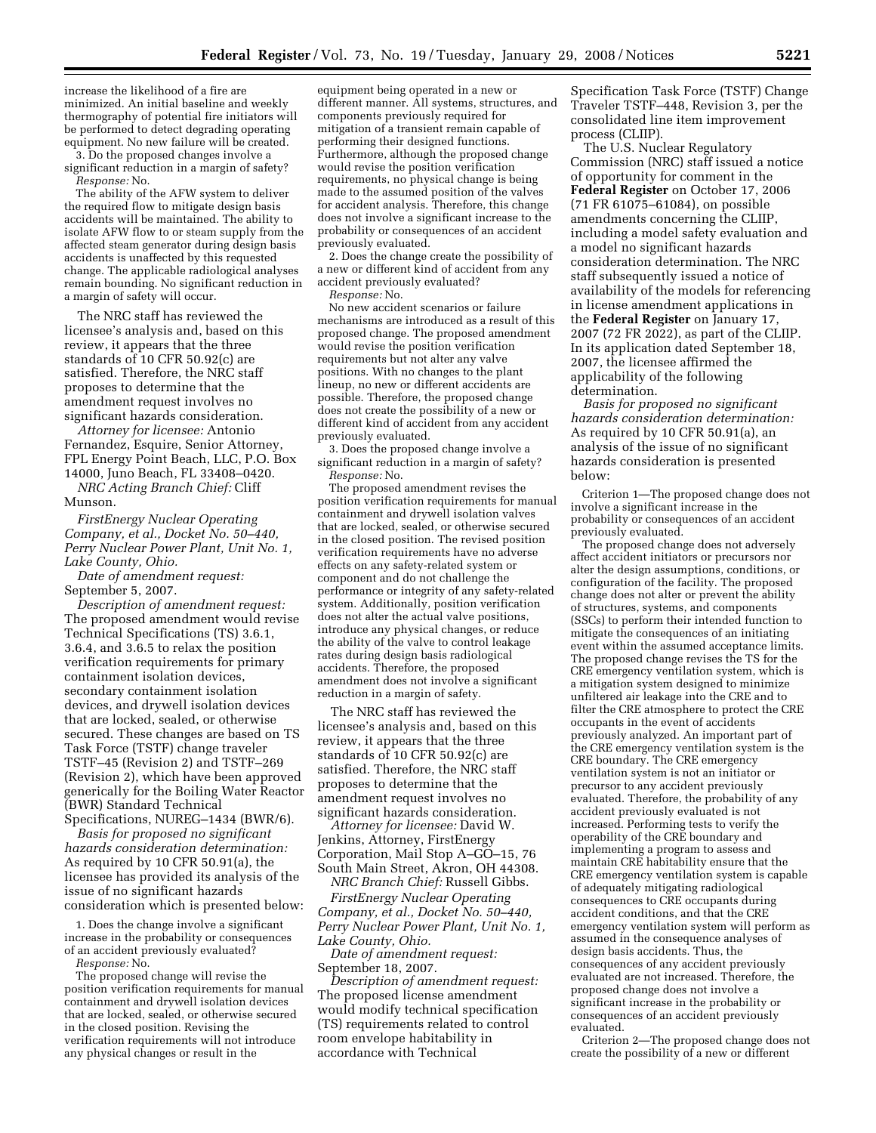increase the likelihood of a fire are minimized. An initial baseline and weekly thermography of potential fire initiators will be performed to detect degrading operating equipment. No new failure will be created.

3. Do the proposed changes involve a significant reduction in a margin of safety? *Response:* No.

The ability of the AFW system to deliver the required flow to mitigate design basis accidents will be maintained. The ability to isolate AFW flow to or steam supply from the affected steam generator during design basis accidents is unaffected by this requested change. The applicable radiological analyses remain bounding. No significant reduction in a margin of safety will occur.

The NRC staff has reviewed the licensee's analysis and, based on this review, it appears that the three standards of 10 CFR 50.92(c) are satisfied. Therefore, the NRC staff proposes to determine that the amendment request involves no significant hazards consideration.

*Attorney for licensee:* Antonio Fernandez, Esquire, Senior Attorney, FPL Energy Point Beach, LLC, P.O. Box 14000, Juno Beach, FL 33408–0420.

*NRC Acting Branch Chief:* Cliff Munson.

*FirstEnergy Nuclear Operating Company, et al., Docket No. 50–440, Perry Nuclear Power Plant, Unit No. 1, Lake County, Ohio.* 

*Date of amendment request:*  September 5, 2007.

*Description of amendment request:*  The proposed amendment would revise Technical Specifications (TS) 3.6.1, 3.6.4, and 3.6.5 to relax the position verification requirements for primary containment isolation devices, secondary containment isolation devices, and drywell isolation devices that are locked, sealed, or otherwise secured. These changes are based on TS Task Force (TSTF) change traveler TSTF–45 (Revision 2) and TSTF–269 (Revision 2), which have been approved generically for the Boiling Water Reactor (BWR) Standard Technical Specifications, NUREG–1434 (BWR/6).

*Basis for proposed no significant hazards consideration determination:*  As required by 10 CFR 50.91(a), the licensee has provided its analysis of the issue of no significant hazards consideration which is presented below:

1. Does the change involve a significant increase in the probability or consequences of an accident previously evaluated? *Response:* No.

The proposed change will revise the position verification requirements for manual containment and drywell isolation devices that are locked, sealed, or otherwise secured in the closed position. Revising the verification requirements will not introduce any physical changes or result in the

equipment being operated in a new or different manner. All systems, structures, and components previously required for mitigation of a transient remain capable of performing their designed functions. Furthermore, although the proposed change would revise the position verification requirements, no physical change is being made to the assumed position of the valves for accident analysis. Therefore, this change does not involve a significant increase to the probability or consequences of an accident previously evaluated.

2. Does the change create the possibility of a new or different kind of accident from any accident previously evaluated?

*Response:* No.

No new accident scenarios or failure mechanisms are introduced as a result of this proposed change. The proposed amendment would revise the position verification requirements but not alter any valve positions. With no changes to the plant lineup, no new or different accidents are possible. Therefore, the proposed change does not create the possibility of a new or different kind of accident from any accident previously evaluated.

3. Does the proposed change involve a significant reduction in a margin of safety? *Response:* No.

The proposed amendment revises the position verification requirements for manual containment and drywell isolation valves that are locked, sealed, or otherwise secured in the closed position. The revised position verification requirements have no adverse effects on any safety-related system or component and do not challenge the performance or integrity of any safety-related system. Additionally, position verification does not alter the actual valve positions, introduce any physical changes, or reduce the ability of the valve to control leakage rates during design basis radiological accidents. Therefore, the proposed amendment does not involve a significant reduction in a margin of safety.

The NRC staff has reviewed the licensee's analysis and, based on this review, it appears that the three standards of 10 CFR 50.92(c) are satisfied. Therefore, the NRC staff proposes to determine that the amendment request involves no significant hazards consideration.

*Attorney for licensee:* David W. Jenkins, Attorney, FirstEnergy Corporation, Mail Stop A–GO–15, 76 South Main Street, Akron, OH 44308.

*NRC Branch Chief:* Russell Gibbs. *FirstEnergy Nuclear Operating Company, et al., Docket No. 50–440, Perry Nuclear Power Plant, Unit No. 1, Lake County, Ohio.* 

*Date of amendment request:*  September 18, 2007.

*Description of amendment request:*  The proposed license amendment would modify technical specification (TS) requirements related to control room envelope habitability in accordance with Technical

Specification Task Force (TSTF) Change Traveler TSTF–448, Revision 3, per the consolidated line item improvement process (CLIIP).

The U.S. Nuclear Regulatory Commission (NRC) staff issued a notice of opportunity for comment in the **Federal Register** on October 17, 2006 (71 FR 61075–61084), on possible amendments concerning the CLIIP, including a model safety evaluation and a model no significant hazards consideration determination. The NRC staff subsequently issued a notice of availability of the models for referencing in license amendment applications in the **Federal Register** on January 17, 2007 (72 FR 2022), as part of the CLIIP. In its application dated September 18, 2007, the licensee affirmed the applicability of the following determination.

*Basis for proposed no significant hazards consideration determination:*  As required by 10 CFR 50.91(a), an analysis of the issue of no significant hazards consideration is presented below:

Criterion 1—The proposed change does not involve a significant increase in the probability or consequences of an accident previously evaluated.

The proposed change does not adversely affect accident initiators or precursors nor alter the design assumptions, conditions, or configuration of the facility. The proposed change does not alter or prevent the ability of structures, systems, and components (SSCs) to perform their intended function to mitigate the consequences of an initiating event within the assumed acceptance limits. The proposed change revises the TS for the CRE emergency ventilation system, which is a mitigation system designed to minimize unfiltered air leakage into the CRE and to filter the CRE atmosphere to protect the CRE occupants in the event of accidents previously analyzed. An important part of the CRE emergency ventilation system is the CRE boundary. The CRE emergency ventilation system is not an initiator or precursor to any accident previously evaluated. Therefore, the probability of any accident previously evaluated is not increased. Performing tests to verify the operability of the CRE boundary and implementing a program to assess and maintain CRE habitability ensure that the CRE emergency ventilation system is capable of adequately mitigating radiological consequences to CRE occupants during accident conditions, and that the CRE emergency ventilation system will perform as assumed in the consequence analyses of design basis accidents. Thus, the consequences of any accident previously evaluated are not increased. Therefore, the proposed change does not involve a significant increase in the probability or consequences of an accident previously evaluated.

Criterion 2—The proposed change does not create the possibility of a new or different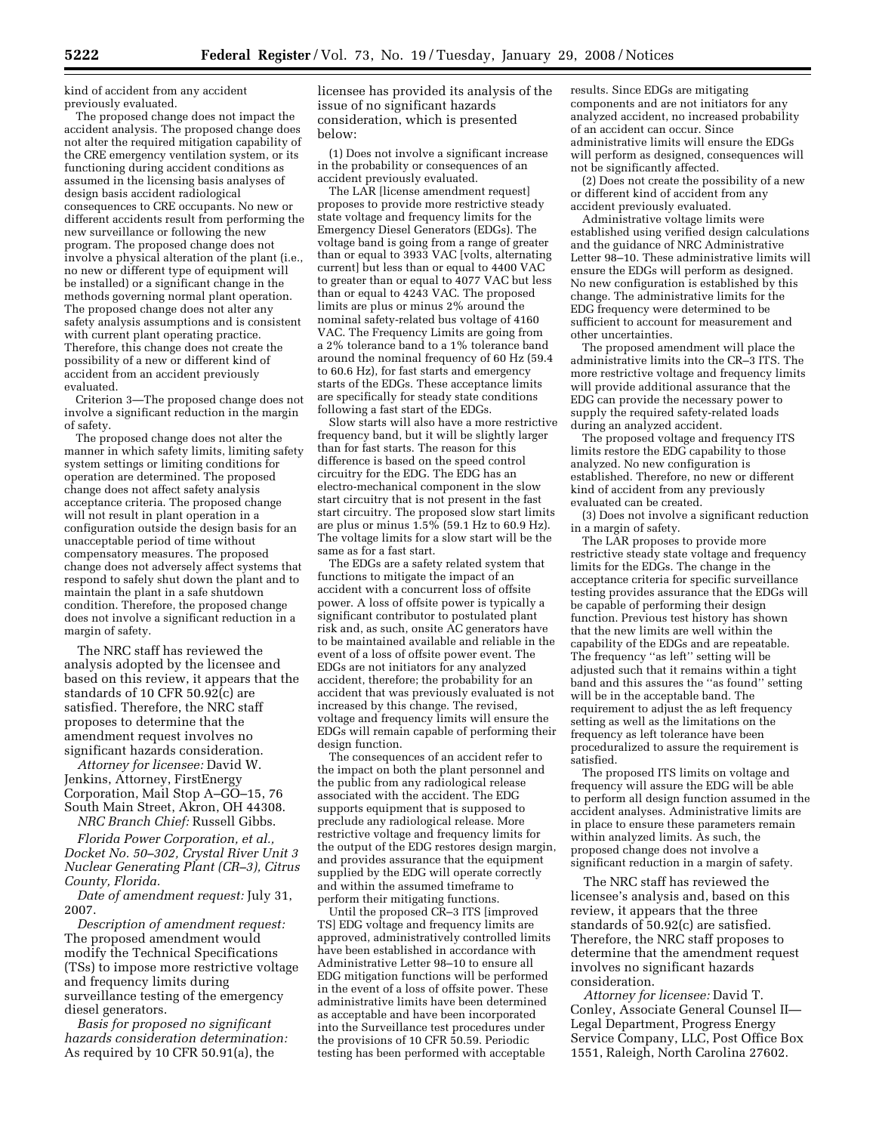kind of accident from any accident previously evaluated.

The proposed change does not impact the accident analysis. The proposed change does not alter the required mitigation capability of the CRE emergency ventilation system, or its functioning during accident conditions as assumed in the licensing basis analyses of design basis accident radiological consequences to CRE occupants. No new or different accidents result from performing the new surveillance or following the new program. The proposed change does not involve a physical alteration of the plant (i.e., no new or different type of equipment will be installed) or a significant change in the methods governing normal plant operation. The proposed change does not alter any safety analysis assumptions and is consistent with current plant operating practice. Therefore, this change does not create the possibility of a new or different kind of accident from an accident previously evaluated.

Criterion 3—The proposed change does not involve a significant reduction in the margin of safety.

The proposed change does not alter the manner in which safety limits, limiting safety system settings or limiting conditions for operation are determined. The proposed change does not affect safety analysis acceptance criteria. The proposed change will not result in plant operation in a configuration outside the design basis for an unacceptable period of time without compensatory measures. The proposed change does not adversely affect systems that respond to safely shut down the plant and to maintain the plant in a safe shutdown condition. Therefore, the proposed change does not involve a significant reduction in a margin of safety.

The NRC staff has reviewed the analysis adopted by the licensee and based on this review, it appears that the standards of 10 CFR 50.92(c) are satisfied. Therefore, the NRC staff proposes to determine that the amendment request involves no significant hazards consideration.

*Attorney for licensee:* David W. Jenkins, Attorney, FirstEnergy Corporation, Mail Stop A–GO–15, 76 South Main Street, Akron, OH 44308. *NRC Branch Chief:* Russell Gibbs.

*Florida Power Corporation, et al., Docket No. 50–302, Crystal River Unit 3 Nuclear Generating Plant (CR–3), Citrus County, Florida.* 

*Date of amendment request:* July 31, 2007.

*Description of amendment request:*  The proposed amendment would modify the Technical Specifications (TSs) to impose more restrictive voltage and frequency limits during surveillance testing of the emergency diesel generators.

*Basis for proposed no significant hazards consideration determination:*  As required by 10 CFR 50.91(a), the

licensee has provided its analysis of the issue of no significant hazards consideration, which is presented below:

(1) Does not involve a significant increase in the probability or consequences of an accident previously evaluated.

The LAR [license amendment request] proposes to provide more restrictive steady state voltage and frequency limits for the Emergency Diesel Generators (EDGs). The voltage band is going from a range of greater than or equal to 3933 VAC [volts, alternating current] but less than or equal to 4400 VAC to greater than or equal to 4077 VAC but less than or equal to 4243 VAC. The proposed limits are plus or minus 2% around the nominal safety-related bus voltage of 4160 VAC. The Frequency Limits are going from a 2% tolerance band to a 1% tolerance band around the nominal frequency of 60 Hz (59.4 to 60.6 Hz), for fast starts and emergency starts of the EDGs. These acceptance limits are specifically for steady state conditions following a fast start of the EDGs.

Slow starts will also have a more restrictive frequency band, but it will be slightly larger than for fast starts. The reason for this difference is based on the speed control circuitry for the EDG. The EDG has an electro-mechanical component in the slow start circuitry that is not present in the fast start circuitry. The proposed slow start limits are plus or minus 1.5% (59.1 Hz to 60.9 Hz). The voltage limits for a slow start will be the same as for a fast start.

The EDGs are a safety related system that functions to mitigate the impact of an accident with a concurrent loss of offsite power. A loss of offsite power is typically a significant contributor to postulated plant risk and, as such, onsite AC generators have to be maintained available and reliable in the event of a loss of offsite power event. The EDGs are not initiators for any analyzed accident, therefore; the probability for an accident that was previously evaluated is not increased by this change. The revised, voltage and frequency limits will ensure the EDGs will remain capable of performing their design function.

The consequences of an accident refer to the impact on both the plant personnel and the public from any radiological release associated with the accident. The EDG supports equipment that is supposed to preclude any radiological release. More restrictive voltage and frequency limits for the output of the EDG restores design margin, and provides assurance that the equipment supplied by the EDG will operate correctly and within the assumed timeframe to perform their mitigating functions.

Until the proposed CR–3 ITS [improved TS] EDG voltage and frequency limits are approved, administratively controlled limits have been established in accordance with Administrative Letter 98–10 to ensure all EDG mitigation functions will be performed in the event of a loss of offsite power. These administrative limits have been determined as acceptable and have been incorporated into the Surveillance test procedures under the provisions of 10 CFR 50.59. Periodic testing has been performed with acceptable

results. Since EDGs are mitigating components and are not initiators for any analyzed accident, no increased probability of an accident can occur. Since administrative limits will ensure the EDGs will perform as designed, consequences will not be significantly affected.

(2) Does not create the possibility of a new or different kind of accident from any accident previously evaluated.

Administrative voltage limits were established using verified design calculations and the guidance of NRC Administrative Letter 98–10. These administrative limits will ensure the EDGs will perform as designed. No new configuration is established by this change. The administrative limits for the EDG frequency were determined to be sufficient to account for measurement and other uncertainties.

The proposed amendment will place the administrative limits into the CR–3 ITS. The more restrictive voltage and frequency limits will provide additional assurance that the EDG can provide the necessary power to supply the required safety-related loads during an analyzed accident.

The proposed voltage and frequency ITS limits restore the EDG capability to those analyzed. No new configuration is established. Therefore, no new or different kind of accident from any previously evaluated can be created.

(3) Does not involve a significant reduction in a margin of safety.

The LAR proposes to provide more restrictive steady state voltage and frequency limits for the EDGs. The change in the acceptance criteria for specific surveillance testing provides assurance that the EDGs will be capable of performing their design function. Previous test history has shown that the new limits are well within the capability of the EDGs and are repeatable. The frequency ''as left'' setting will be adjusted such that it remains within a tight band and this assures the ''as found'' setting will be in the acceptable band. The requirement to adjust the as left frequency setting as well as the limitations on the frequency as left tolerance have been proceduralized to assure the requirement is satisfied.

The proposed ITS limits on voltage and frequency will assure the EDG will be able to perform all design function assumed in the accident analyses. Administrative limits are in place to ensure these parameters remain within analyzed limits. As such, the proposed change does not involve a significant reduction in a margin of safety.

The NRC staff has reviewed the licensee's analysis and, based on this review, it appears that the three standards of 50.92(c) are satisfied. Therefore, the NRC staff proposes to determine that the amendment request involves no significant hazards consideration.

*Attorney for licensee:* David T. Conley, Associate General Counsel II— Legal Department, Progress Energy Service Company, LLC, Post Office Box 1551, Raleigh, North Carolina 27602.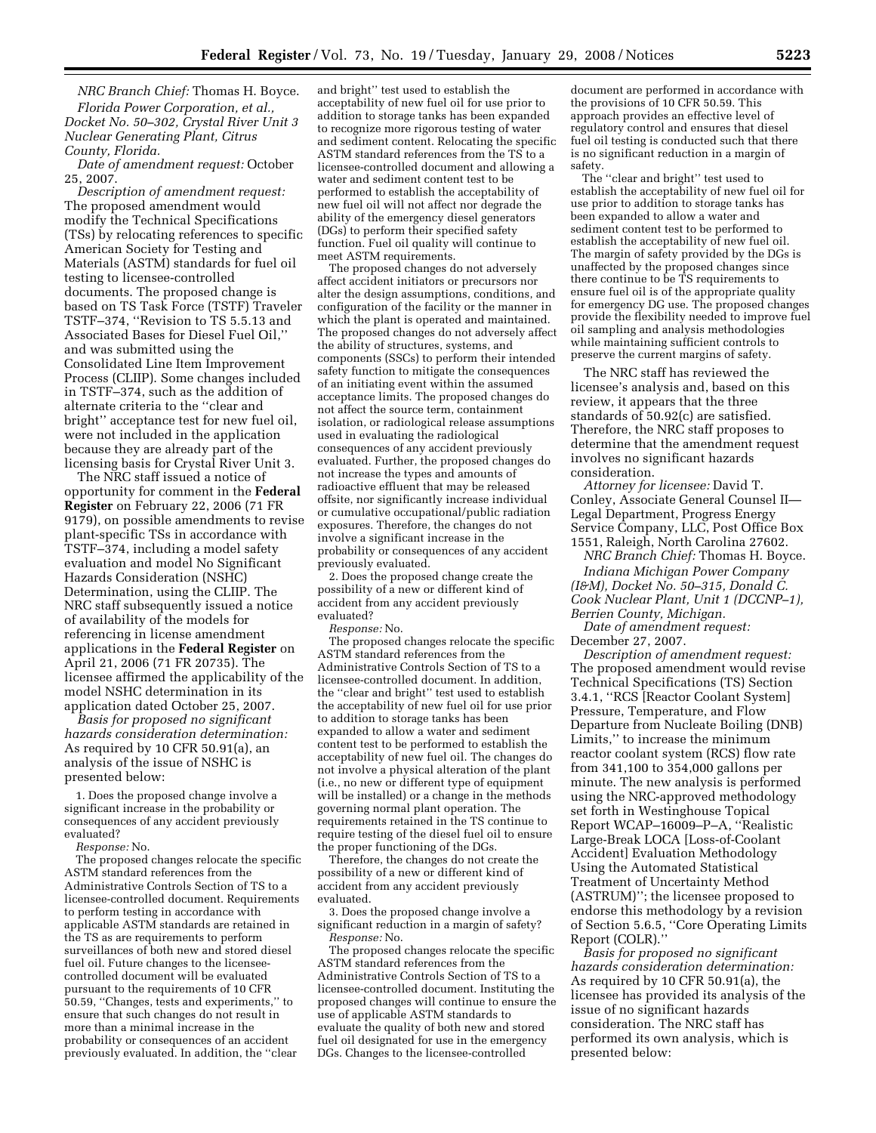*NRC Branch Chief:* Thomas H. Boyce. *Florida Power Corporation, et al., Docket No. 50–302, Crystal River Unit 3 Nuclear Generating Plant, Citrus County, Florida.* 

*Date of amendment request:* October 25, 2007.

*Description of amendment request:*  The proposed amendment would modify the Technical Specifications (TSs) by relocating references to specific American Society for Testing and Materials (ASTM) standards for fuel oil testing to licensee-controlled documents. The proposed change is based on TS Task Force (TSTF) Traveler TSTF–374, ''Revision to TS 5.5.13 and Associated Bases for Diesel Fuel Oil,'' and was submitted using the Consolidated Line Item Improvement Process (CLIIP). Some changes included in TSTF–374, such as the addition of alternate criteria to the ''clear and bright'' acceptance test for new fuel oil, were not included in the application because they are already part of the licensing basis for Crystal River Unit 3.

The NRC staff issued a notice of opportunity for comment in the **Federal Register** on February 22, 2006 (71 FR 9179), on possible amendments to revise plant-specific TSs in accordance with TSTF–374, including a model safety evaluation and model No Significant Hazards Consideration (NSHC) Determination, using the CLIIP. The NRC staff subsequently issued a notice of availability of the models for referencing in license amendment applications in the **Federal Register** on April 21, 2006 (71 FR 20735). The licensee affirmed the applicability of the model NSHC determination in its application dated October 25, 2007.

*Basis for proposed no significant hazards consideration determination:*  As required by 10 CFR 50.91(a), an analysis of the issue of NSHC is presented below:

1. Does the proposed change involve a significant increase in the probability or consequences of any accident previously evaluated?

*Response:* No.

The proposed changes relocate the specific ASTM standard references from the Administrative Controls Section of TS to a licensee-controlled document. Requirements to perform testing in accordance with applicable ASTM standards are retained in the TS as are requirements to perform surveillances of both new and stored diesel fuel oil. Future changes to the licenseecontrolled document will be evaluated pursuant to the requirements of 10 CFR 50.59, ''Changes, tests and experiments,'' to ensure that such changes do not result in more than a minimal increase in the probability or consequences of an accident previously evaluated. In addition, the ''clear

and bright'' test used to establish the acceptability of new fuel oil for use prior to addition to storage tanks has been expanded to recognize more rigorous testing of water and sediment content. Relocating the specific ASTM standard references from the TS to a licensee-controlled document and allowing a water and sediment content test to be performed to establish the acceptability of new fuel oil will not affect nor degrade the ability of the emergency diesel generators (DGs) to perform their specified safety function. Fuel oil quality will continue to meet ASTM requirements.

The proposed changes do not adversely affect accident initiators or precursors nor alter the design assumptions, conditions, and configuration of the facility or the manner in which the plant is operated and maintained. The proposed changes do not adversely affect the ability of structures, systems, and components (SSCs) to perform their intended safety function to mitigate the consequences of an initiating event within the assumed acceptance limits. The proposed changes do not affect the source term, containment isolation, or radiological release assumptions used in evaluating the radiological consequences of any accident previously evaluated. Further, the proposed changes do not increase the types and amounts of radioactive effluent that may be released offsite, nor significantly increase individual or cumulative occupational/public radiation exposures. Therefore, the changes do not involve a significant increase in the probability or consequences of any accident previously evaluated.

2. Does the proposed change create the possibility of a new or different kind of accident from any accident previously evaluated?

*Response:* No.

The proposed changes relocate the specific ASTM standard references from the Administrative Controls Section of TS to a licensee-controlled document. In addition, the ''clear and bright'' test used to establish the acceptability of new fuel oil for use prior to addition to storage tanks has been expanded to allow a water and sediment content test to be performed to establish the acceptability of new fuel oil. The changes do not involve a physical alteration of the plant (i.e., no new or different type of equipment will be installed) or a change in the methods governing normal plant operation. The requirements retained in the TS continue to require testing of the diesel fuel oil to ensure the proper functioning of the DGs.

Therefore, the changes do not create the possibility of a new or different kind of accident from any accident previously evaluated.

3. Does the proposed change involve a significant reduction in a margin of safety? *Response:* No.

The proposed changes relocate the specific ASTM standard references from the Administrative Controls Section of TS to a licensee-controlled document. Instituting the proposed changes will continue to ensure the use of applicable ASTM standards to evaluate the quality of both new and stored fuel oil designated for use in the emergency DGs. Changes to the licensee-controlled

document are performed in accordance with the provisions of 10 CFR 50.59. This approach provides an effective level of regulatory control and ensures that diesel fuel oil testing is conducted such that there is no significant reduction in a margin of safety.

The ''clear and bright'' test used to establish the acceptability of new fuel oil for use prior to addition to storage tanks has been expanded to allow a water and sediment content test to be performed to establish the acceptability of new fuel oil. The margin of safety provided by the DGs is unaffected by the proposed changes since there continue to be TS requirements to ensure fuel oil is of the appropriate quality for emergency DG use. The proposed changes provide the flexibility needed to improve fuel oil sampling and analysis methodologies while maintaining sufficient controls to preserve the current margins of safety.

The NRC staff has reviewed the licensee's analysis and, based on this review, it appears that the three standards of 50.92(c) are satisfied. Therefore, the NRC staff proposes to determine that the amendment request involves no significant hazards consideration.

*Attorney for licensee:* David T. Conley, Associate General Counsel II— Legal Department, Progress Energy Service Company, LLC, Post Office Box 1551, Raleigh, North Carolina 27602.

*NRC Branch Chief:* Thomas H. Boyce. *Indiana Michigan Power Company (I&M), Docket No. 50–315, Donald C. Cook Nuclear Plant, Unit 1 (DCCNP–1), Berrien County, Michigan.* 

*Date of amendment request:*  December 27, 2007.

*Description of amendment request:*  The proposed amendment would revise Technical Specifications (TS) Section 3.4.1, ''RCS [Reactor Coolant System] Pressure, Temperature, and Flow Departure from Nucleate Boiling (DNB) Limits,'' to increase the minimum reactor coolant system (RCS) flow rate from 341,100 to 354,000 gallons per minute. The new analysis is performed using the NRC-approved methodology set forth in Westinghouse Topical Report WCAP–16009–P–A, ''Realistic Large-Break LOCA [Loss-of-Coolant Accident] Evaluation Methodology Using the Automated Statistical Treatment of Uncertainty Method (ASTRUM)''; the licensee proposed to endorse this methodology by a revision of Section 5.6.5, ''Core Operating Limits Report (COLR).''

*Basis for proposed no significant hazards consideration determination:*  As required by 10 CFR 50.91(a), the licensee has provided its analysis of the issue of no significant hazards consideration. The NRC staff has performed its own analysis, which is presented below: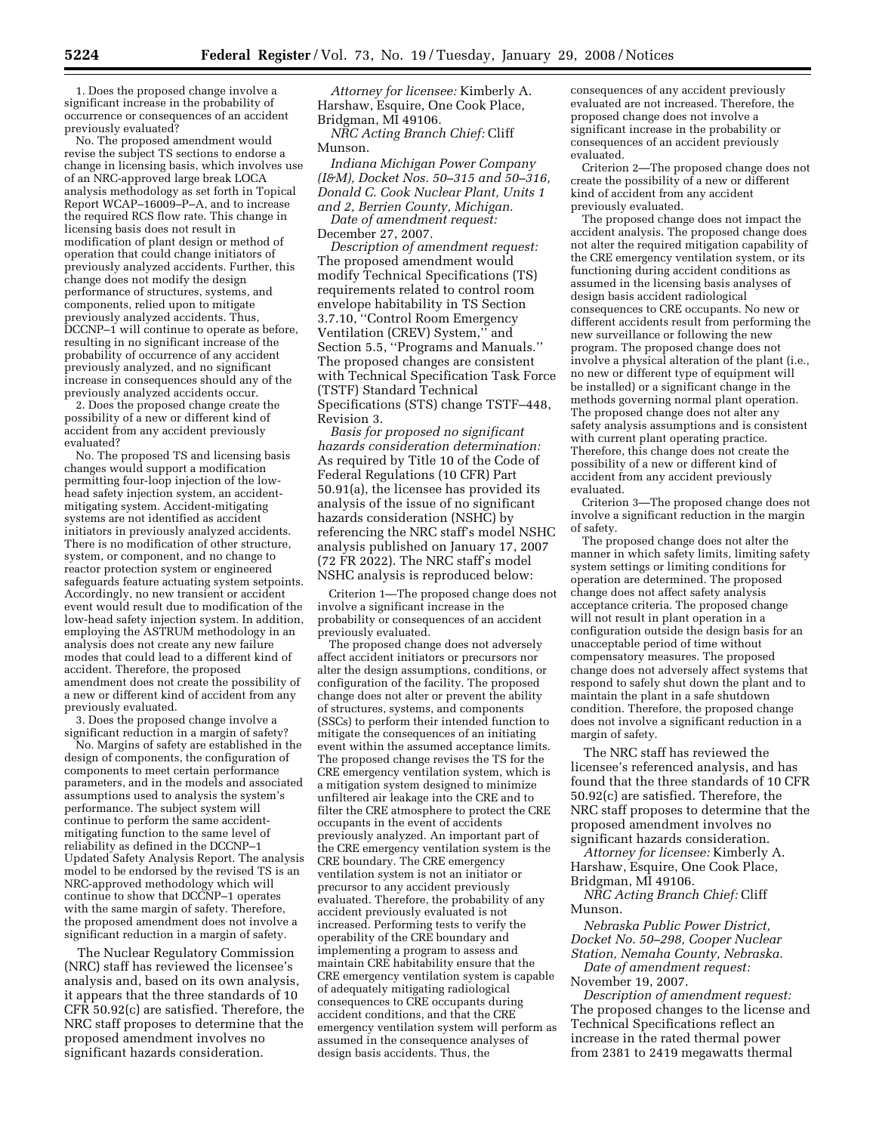1. Does the proposed change involve a significant increase in the probability of occurrence or consequences of an accident previously evaluated?

No. The proposed amendment would revise the subject TS sections to endorse a change in licensing basis, which involves use of an NRC-approved large break LOCA analysis methodology as set forth in Topical Report WCAP–16009–P–A, and to increase the required RCS flow rate. This change in licensing basis does not result in modification of plant design or method of operation that could change initiators of previously analyzed accidents. Further, this change does not modify the design performance of structures, systems, and components, relied upon to mitigate previously analyzed accidents. Thus, DCCNP–1 will continue to operate as before, resulting in no significant increase of the probability of occurrence of any accident previously analyzed, and no significant increase in consequences should any of the previously analyzed accidents occur.

2. Does the proposed change create the possibility of a new or different kind of accident from any accident previously evaluated?

No. The proposed TS and licensing basis changes would support a modification permitting four-loop injection of the lowhead safety injection system, an accidentmitigating system. Accident-mitigating systems are not identified as accident initiators in previously analyzed accidents. There is no modification of other structure, system, or component, and no change to reactor protection system or engineered safeguards feature actuating system setpoints. Accordingly, no new transient or accident event would result due to modification of the low-head safety injection system. In addition, employing the ASTRUM methodology in an analysis does not create any new failure modes that could lead to a different kind of accident. Therefore, the proposed amendment does not create the possibility of a new or different kind of accident from any previously evaluated.

3. Does the proposed change involve a significant reduction in a margin of safety?

No. Margins of safety are established in the design of components, the configuration of components to meet certain performance parameters, and in the models and associated assumptions used to analysis the system's performance. The subject system will continue to perform the same accidentmitigating function to the same level of reliability as defined in the DCCNP–1 Updated Safety Analysis Report. The analysis model to be endorsed by the revised TS is an NRC-approved methodology which will continue to show that DCCNP–1 operates with the same margin of safety. Therefore, the proposed amendment does not involve a significant reduction in a margin of safety.

The Nuclear Regulatory Commission (NRC) staff has reviewed the licensee's analysis and, based on its own analysis, it appears that the three standards of 10 CFR 50.92(c) are satisfied. Therefore, the NRC staff proposes to determine that the proposed amendment involves no significant hazards consideration.

*Attorney for licensee:* Kimberly A. Harshaw, Esquire, One Cook Place, Bridgman, MI 49106.

*NRC Acting Branch Chief:* Cliff Munson.

*Indiana Michigan Power Company (I&M), Docket Nos. 50–315 and 50–316, Donald C. Cook Nuclear Plant, Units 1 and 2, Berrien County, Michigan.* 

*Date of amendment request:*  December 27, 2007.

*Description of amendment request:*  The proposed amendment would modify Technical Specifications (TS) requirements related to control room envelope habitability in TS Section 3.7.10, ''Control Room Emergency Ventilation (CREV) System,'' and Section 5.5, ''Programs and Manuals.'' The proposed changes are consistent with Technical Specification Task Force (TSTF) Standard Technical Specifications (STS) change TSTF–448, Revision 3.

*Basis for proposed no significant hazards consideration determination:*  As required by Title 10 of the Code of Federal Regulations (10 CFR) Part 50.91(a), the licensee has provided its analysis of the issue of no significant hazards consideration (NSHC) by referencing the NRC staff's model NSHC analysis published on January 17, 2007 (72 FR 2022). The NRC staff's model NSHC analysis is reproduced below:

Criterion 1—The proposed change does not involve a significant increase in the probability or consequences of an accident previously evaluated.

The proposed change does not adversely affect accident initiators or precursors nor alter the design assumptions, conditions, or configuration of the facility. The proposed change does not alter or prevent the ability of structures, systems, and components (SSCs) to perform their intended function to mitigate the consequences of an initiating event within the assumed acceptance limits. The proposed change revises the TS for the CRE emergency ventilation system, which is a mitigation system designed to minimize unfiltered air leakage into the CRE and to filter the CRE atmosphere to protect the CRE occupants in the event of accidents previously analyzed. An important part of the CRE emergency ventilation system is the CRE boundary. The CRE emergency ventilation system is not an initiator or precursor to any accident previously evaluated. Therefore, the probability of any accident previously evaluated is not increased. Performing tests to verify the operability of the CRE boundary and implementing a program to assess and maintain CRE habitability ensure that the CRE emergency ventilation system is capable of adequately mitigating radiological consequences to CRE occupants during accident conditions, and that the CRE emergency ventilation system will perform as assumed in the consequence analyses of design basis accidents. Thus, the

consequences of any accident previously evaluated are not increased. Therefore, the proposed change does not involve a significant increase in the probability or consequences of an accident previously evaluated.

Criterion 2—The proposed change does not create the possibility of a new or different kind of accident from any accident previously evaluated.

The proposed change does not impact the accident analysis. The proposed change does not alter the required mitigation capability of the CRE emergency ventilation system, or its functioning during accident conditions as assumed in the licensing basis analyses of design basis accident radiological consequences to CRE occupants. No new or different accidents result from performing the new surveillance or following the new program. The proposed change does not involve a physical alteration of the plant (i.e., no new or different type of equipment will be installed) or a significant change in the methods governing normal plant operation. The proposed change does not alter any safety analysis assumptions and is consistent with current plant operating practice. Therefore, this change does not create the possibility of a new or different kind of accident from any accident previously evaluated.

Criterion 3—The proposed change does not involve a significant reduction in the margin of safety.

The proposed change does not alter the manner in which safety limits, limiting safety system settings or limiting conditions for operation are determined. The proposed change does not affect safety analysis acceptance criteria. The proposed change will not result in plant operation in a configuration outside the design basis for an unacceptable period of time without compensatory measures. The proposed change does not adversely affect systems that respond to safely shut down the plant and to maintain the plant in a safe shutdown condition. Therefore, the proposed change does not involve a significant reduction in a margin of safety.

The NRC staff has reviewed the licensee's referenced analysis, and has found that the three standards of 10 CFR 50.92(c) are satisfied. Therefore, the NRC staff proposes to determine that the proposed amendment involves no significant hazards consideration.

*Attorney for licensee:* Kimberly A. Harshaw, Esquire, One Cook Place, Bridgman, MI 49106.

*NRC Acting Branch Chief:* Cliff Munson.

*Nebraska Public Power District, Docket No. 50–298, Cooper Nuclear Station, Nemaha County, Nebraska.* 

*Date of amendment request:*  November 19, 2007.

*Description of amendment request:*  The proposed changes to the license and Technical Specifications reflect an increase in the rated thermal power from 2381 to 2419 megawatts thermal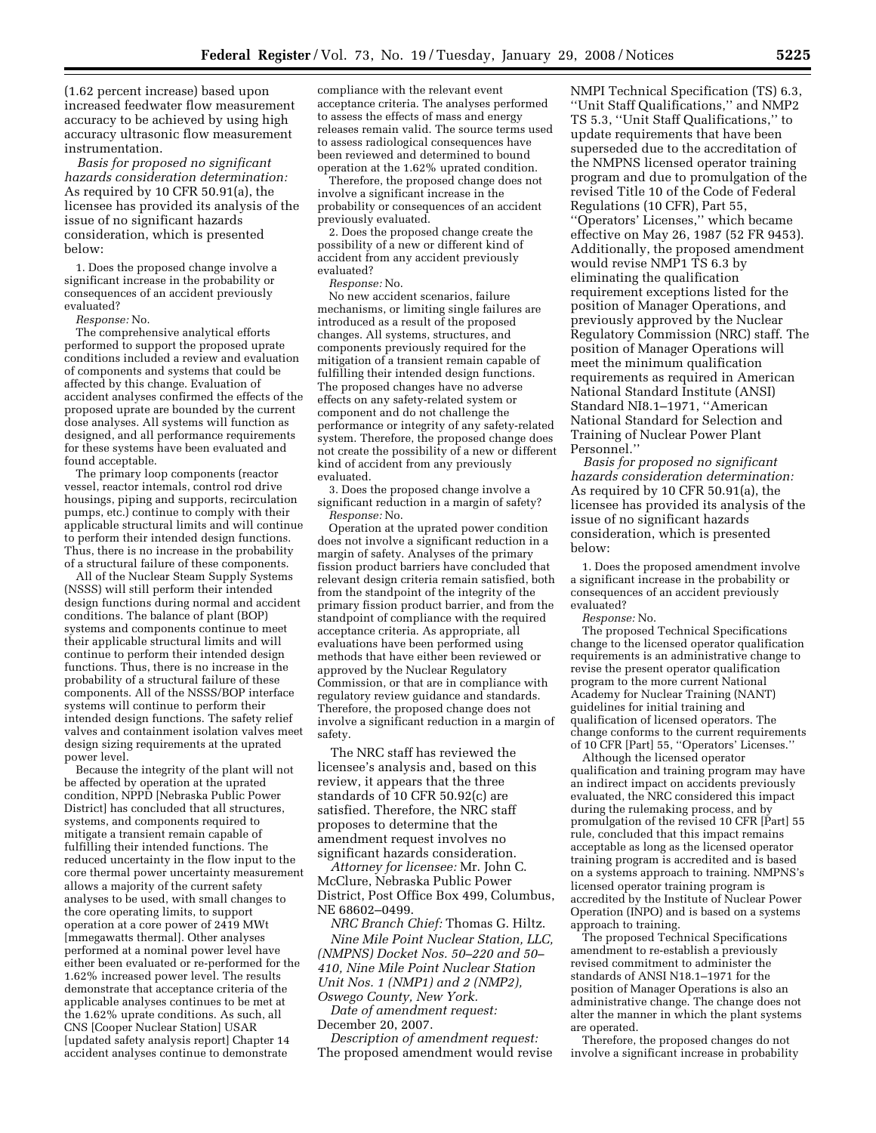(1.62 percent increase) based upon increased feedwater flow measurement accuracy to be achieved by using high accuracy ultrasonic flow measurement instrumentation.

*Basis for proposed no significant hazards consideration determination:*  As required by 10 CFR 50.91(a), the licensee has provided its analysis of the issue of no significant hazards consideration, which is presented below:

1. Does the proposed change involve a significant increase in the probability or consequences of an accident previously evaluated?

*Response:* No.

The comprehensive analytical efforts performed to support the proposed uprate conditions included a review and evaluation of components and systems that could be affected by this change. Evaluation of accident analyses confirmed the effects of the proposed uprate are bounded by the current dose analyses. All systems will function as designed, and all performance requirements for these systems have been evaluated and found acceptable.

The primary loop components (reactor vessel, reactor intemals, control rod drive housings, piping and supports, recirculation pumps, etc.) continue to comply with their applicable structural limits and will continue to perform their intended design functions. Thus, there is no increase in the probability of a structural failure of these components.

All of the Nuclear Steam Supply Systems (NSSS) will still perform their intended design functions during normal and accident conditions. The balance of plant (BOP) systems and components continue to meet their applicable structural limits and will continue to perform their intended design functions. Thus, there is no increase in the probability of a structural failure of these components. All of the NSSS/BOP interface systems will continue to perform their intended design functions. The safety relief valves and containment isolation valves meet design sizing requirements at the uprated power level.

Because the integrity of the plant will not be affected by operation at the uprated condition, NPPD [Nebraska Public Power District] has concluded that all structures, systems, and components required to mitigate a transient remain capable of fulfilling their intended functions. The reduced uncertainty in the flow input to the core thermal power uncertainty measurement allows a majority of the current safety analyses to be used, with small changes to the core operating limits, to support operation at a core power of 2419 MWt [mmegawatts thermal]. Other analyses performed at a nominal power level have either been evaluated or re-performed for the 1.62% increased power level. The results demonstrate that acceptance criteria of the applicable analyses continues to be met at the 1.62% uprate conditions. As such, all CNS [Cooper Nuclear Station] USAR [updated safety analysis report] Chapter 14 accident analyses continue to demonstrate

compliance with the relevant event acceptance criteria. The analyses performed to assess the effects of mass and energy releases remain valid. The source terms used to assess radiological consequences have been reviewed and determined to bound operation at the 1.62% uprated condition.

Therefore, the proposed change does not involve a significant increase in the probability or consequences of an accident previously evaluated.

2. Does the proposed change create the possibility of a new or different kind of accident from any accident previously evaluated?

*Response:* No.

No new accident scenarios, failure mechanisms, or limiting single failures are introduced as a result of the proposed changes. All systems, structures, and components previously required for the mitigation of a transient remain capable of fulfilling their intended design functions. The proposed changes have no adverse effects on any safety-related system or component and do not challenge the performance or integrity of any safety-related system. Therefore, the proposed change does not create the possibility of a new or different kind of accident from any previously evaluated.

3. Does the proposed change involve a significant reduction in a margin of safety? *Response:* No.

Operation at the uprated power condition does not involve a significant reduction in a margin of safety. Analyses of the primary fission product barriers have concluded that relevant design criteria remain satisfied, both from the standpoint of the integrity of the primary fission product barrier, and from the standpoint of compliance with the required acceptance criteria. As appropriate, all evaluations have been performed using methods that have either been reviewed or approved by the Nuclear Regulatory Commission, or that are in compliance with regulatory review guidance and standards. Therefore, the proposed change does not involve a significant reduction in a margin of safety.

The NRC staff has reviewed the licensee's analysis and, based on this review, it appears that the three standards of 10 CFR 50.92(c) are satisfied. Therefore, the NRC staff proposes to determine that the amendment request involves no significant hazards consideration.

*Attorney for licensee:* Mr. John C. McClure, Nebraska Public Power District, Post Office Box 499, Columbus, NE 68602–0499.

*NRC Branch Chief:* Thomas G. Hiltz. *Nine Mile Point Nuclear Station, LLC, (NMPNS) Docket Nos. 50–220 and 50– 410, Nine Mile Point Nuclear Station Unit Nos. 1 (NMP1) and 2 (NMP2), Oswego County, New York.* 

*Date of amendment request:*  December 20, 2007.

*Description of amendment request:*  The proposed amendment would revise

NMPI Technical Specification (TS) 6.3, ''Unit Staff Qualifications,'' and NMP2 TS 5.3, ''Unit Staff Qualifications,'' to update requirements that have been superseded due to the accreditation of the NMPNS licensed operator training program and due to promulgation of the revised Title 10 of the Code of Federal Regulations (10 CFR), Part 55, ''Operators' Licenses,'' which became effective on May 26, 1987 (52 FR 9453). Additionally, the proposed amendment would revise NMP1 TS 6.3 by eliminating the qualification requirement exceptions listed for the position of Manager Operations, and previously approved by the Nuclear Regulatory Commission (NRC) staff. The position of Manager Operations will meet the minimum qualification requirements as required in American National Standard Institute (ANSI) Standard NI8.1–1971, ''American National Standard for Selection and Training of Nuclear Power Plant Personnel.''

*Basis for proposed no significant hazards consideration determination:*  As required by 10 CFR 50.91(a), the licensee has provided its analysis of the issue of no significant hazards consideration, which is presented below:

1. Does the proposed amendment involve a significant increase in the probability or consequences of an accident previously evaluated?

*Response:* No.

The proposed Technical Specifications change to the licensed operator qualification requirements is an administrative change to revise the present operator qualification program to the more current National Academy for Nuclear Training (NANT) guidelines for initial training and qualification of licensed operators. The change conforms to the current requirements of 10 CFR [Part] 55, ''Operators' Licenses.''

Although the licensed operator qualification and training program may have an indirect impact on accidents previously evaluated, the NRC considered this impact during the rulemaking process, and by promulgation of the revised 10 CFR [Part] 55 rule, concluded that this impact remains acceptable as long as the licensed operator training program is accredited and is based on a systems approach to training. NMPNS's licensed operator training program is accredited by the Institute of Nuclear Power Operation (INPO) and is based on a systems approach to training.

The proposed Technical Specifications amendment to re-establish a previously revised commitment to administer the standards of ANSI N18.1–1971 for the position of Manager Operations is also an administrative change. The change does not alter the manner in which the plant systems are operated.

Therefore, the proposed changes do not involve a significant increase in probability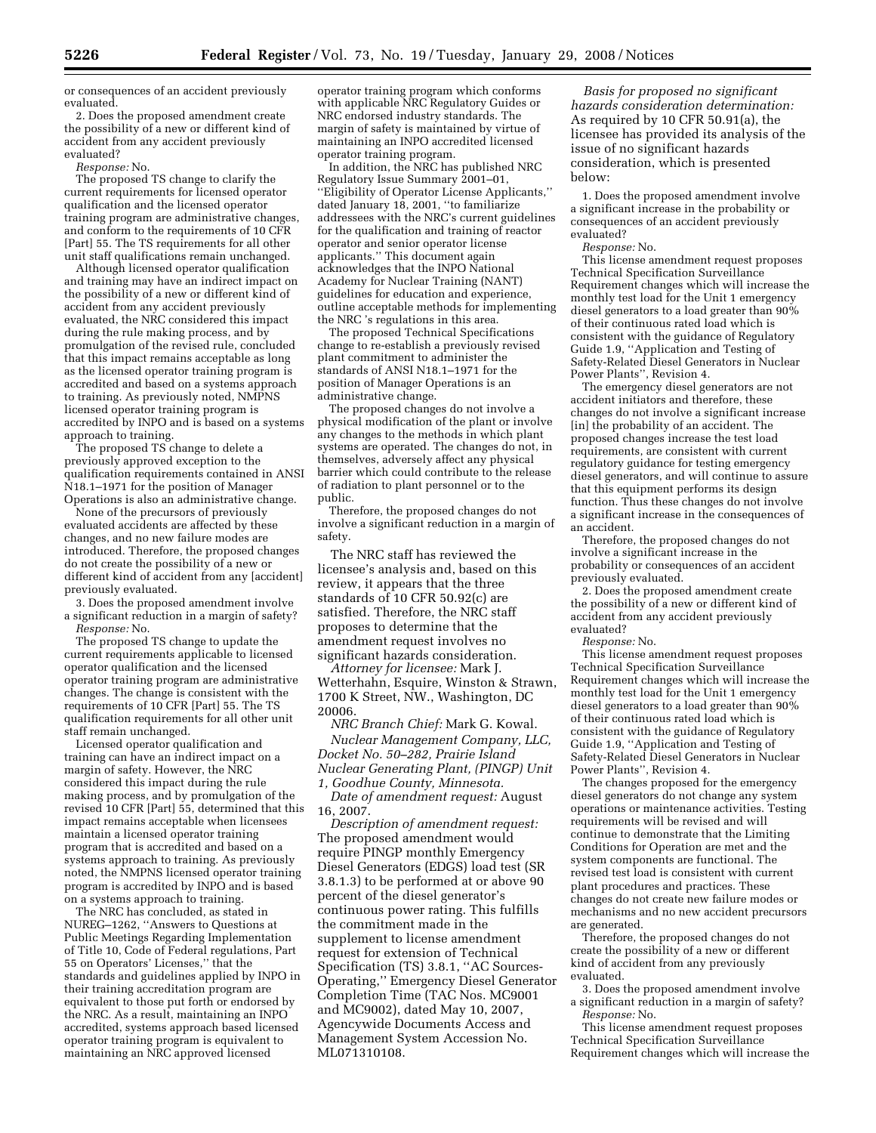or consequences of an accident previously evaluated.

2. Does the proposed amendment create the possibility of a new or different kind of accident from any accident previously evaluated?

*Response:* No.

The proposed TS change to clarify the current requirements for licensed operator qualification and the licensed operator training program are administrative changes, and conform to the requirements of 10 CFR [Part] 55. The TS requirements for all other unit staff qualifications remain unchanged.

Although licensed operator qualification and training may have an indirect impact on the possibility of a new or different kind of accident from any accident previously evaluated, the NRC considered this impact during the rule making process, and by promulgation of the revised rule, concluded that this impact remains acceptable as long as the licensed operator training program is accredited and based on a systems approach to training. As previously noted, NMPNS licensed operator training program is accredited by INPO and is based on a systems approach to training.

The proposed TS change to delete a previously approved exception to the qualification requirements contained in ANSI N18.1–1971 for the position of Manager Operations is also an administrative change.

None of the precursors of previously evaluated accidents are affected by these changes, and no new failure modes are introduced. Therefore, the proposed changes do not create the possibility of a new or different kind of accident from any [accident] previously evaluated.

3. Does the proposed amendment involve a significant reduction in a margin of safety? *Response:* No.

The proposed TS change to update the current requirements applicable to licensed operator qualification and the licensed operator training program are administrative changes. The change is consistent with the requirements of 10 CFR [Part] 55. The TS qualification requirements for all other unit staff remain unchanged.

Licensed operator qualification and training can have an indirect impact on a margin of safety. However, the NRC considered this impact during the rule making process, and by promulgation of the revised 10 CFR [Part] 55, determined that this impact remains acceptable when licensees maintain a licensed operator training program that is accredited and based on a systems approach to training. As previously noted, the NMPNS licensed operator training program is accredited by INPO and is based on a systems approach to training.

The NRC has concluded, as stated in NUREG–1262, ''Answers to Questions at Public Meetings Regarding Implementation of Title 10, Code of Federal regulations, Part 55 on Operators' Licenses,'' that the standards and guidelines applied by INPO in their training accreditation program are equivalent to those put forth or endorsed by the NRC. As a result, maintaining an INPO accredited, systems approach based licensed operator training program is equivalent to maintaining an NRC approved licensed

operator training program which conforms with applicable NRC Regulatory Guides or NRC endorsed industry standards. The margin of safety is maintained by virtue of maintaining an INPO accredited licensed operator training program.

In addition, the NRC has published NRC Regulatory Issue Summary 2001–01, ''Eligibility of Operator License Applicants,'' dated January 18, 2001, ''to familiarize addressees with the NRC's current guidelines for the qualification and training of reactor operator and senior operator license applicants.'' This document again acknowledges that the INPO National Academy for Nuclear Training (NANT) guidelines for education and experience, outline acceptable methods for implementing the NRC 's regulations in this area.

The proposed Technical Specifications change to re-establish a previously revised plant commitment to administer the standards of ANSI N18.1–1971 for the position of Manager Operations is an administrative change.

The proposed changes do not involve a physical modification of the plant or involve any changes to the methods in which plant systems are operated. The changes do not, in themselves, adversely affect any physical barrier which could contribute to the release of radiation to plant personnel or to the public.

Therefore, the proposed changes do not involve a significant reduction in a margin of safety.

The NRC staff has reviewed the licensee's analysis and, based on this review, it appears that the three standards of 10 CFR 50.92(c) are satisfied. Therefore, the NRC staff proposes to determine that the amendment request involves no significant hazards consideration.

*Attorney for licensee:* Mark J. Wetterhahn, Esquire, Winston & Strawn, 1700 K Street, NW., Washington, DC 20006.

*NRC Branch Chief:* Mark G. Kowal. *Nuclear Management Company, LLC, Docket No. 50–282, Prairie Island Nuclear Generating Plant, (PINGP) Unit 1, Goodhue County, Minnesota.* 

*Date of amendment request:* August 16, 2007.

*Description of amendment request:*  The proposed amendment would require PINGP monthly Emergency Diesel Generators (EDGS) load test (SR 3.8.1.3) to be performed at or above 90 percent of the diesel generator's continuous power rating. This fulfills the commitment made in the supplement to license amendment request for extension of Technical Specification (TS) 3.8.1, ''AC Sources-Operating,'' Emergency Diesel Generator Completion Time (TAC Nos. MC9001 and MC9002), dated May 10, 2007, Agencywide Documents Access and Management System Accession No. ML071310108.

*Basis for proposed no significant hazards consideration determination:*  As required by 10 CFR 50.91(a), the licensee has provided its analysis of the issue of no significant hazards consideration, which is presented below:

1. Does the proposed amendment involve a significant increase in the probability or consequences of an accident previously evaluated?

*Response:* No.

This license amendment request proposes Technical Specification Surveillance Requirement changes which will increase the monthly test load for the Unit 1 emergency diesel generators to a load greater than 90% of their continuous rated load which is consistent with the guidance of Regulatory Guide 1.9, ''Application and Testing of Safety-Related Diesel Generators in Nuclear Power Plants'', Revision 4.

The emergency diesel generators are not accident initiators and therefore, these changes do not involve a significant increase [in] the probability of an accident. The proposed changes increase the test load requirements, are consistent with current regulatory guidance for testing emergency diesel generators, and will continue to assure that this equipment performs its design function. Thus these changes do not involve a significant increase in the consequences of an accident.

Therefore, the proposed changes do not involve a significant increase in the probability or consequences of an accident previously evaluated.

2. Does the proposed amendment create the possibility of a new or different kind of accident from any accident previously evaluated?

*Response:* No.

This license amendment request proposes Technical Specification Surveillance Requirement changes which will increase the monthly test load for the Unit 1 emergency diesel generators to a load greater than 90% of their continuous rated load which is consistent with the guidance of Regulatory Guide 1.9, ''Application and Testing of Safety-Related Diesel Generators in Nuclear Power Plants'', Revision 4.

The changes proposed for the emergency diesel generators do not change any system operations or maintenance activities. Testing requirements will be revised and will continue to demonstrate that the Limiting Conditions for Operation are met and the system components are functional. The revised test load is consistent with current plant procedures and practices. These changes do not create new failure modes or mechanisms and no new accident precursors are generated.

Therefore, the proposed changes do not create the possibility of a new or different kind of accident from any previously evaluated.

3. Does the proposed amendment involve a significant reduction in a margin of safety? *Response:* No.

This license amendment request proposes Technical Specification Surveillance Requirement changes which will increase the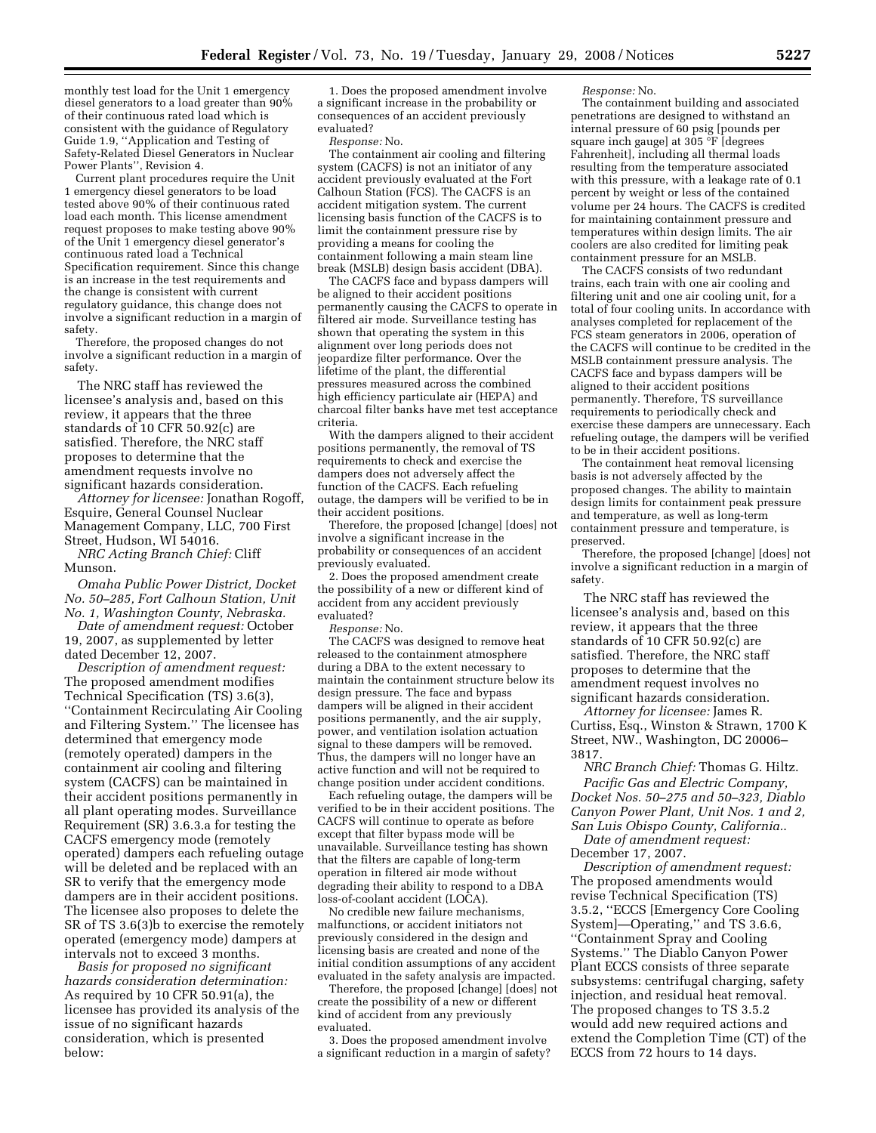monthly test load for the Unit 1 emergency diesel generators to a load greater than 90% of their continuous rated load which is consistent with the guidance of Regulatory Guide 1.9, ''Application and Testing of Safety-Related Diesel Generators in Nuclear Power Plants'', Revision 4.

Current plant procedures require the Unit 1 emergency diesel generators to be load tested above 90% of their continuous rated load each month. This license amendment request proposes to make testing above 90% of the Unit 1 emergency diesel generator's continuous rated load a Technical Specification requirement. Since this change is an increase in the test requirements and the change is consistent with current regulatory guidance, this change does not involve a significant reduction in a margin of safety.

Therefore, the proposed changes do not involve a significant reduction in a margin of safety.

The NRC staff has reviewed the licensee's analysis and, based on this review, it appears that the three standards of 10 CFR 50.92(c) are satisfied. Therefore, the NRC staff proposes to determine that the amendment requests involve no significant hazards consideration.

*Attorney for licensee:* Jonathan Rogoff, Esquire, General Counsel Nuclear Management Company, LLC, 700 First Street, Hudson, WI 54016.

*NRC Acting Branch Chief:* Cliff Munson.

*Omaha Public Power District, Docket No. 50–285, Fort Calhoun Station, Unit No. 1, Washington County, Nebraska.* 

*Date of amendment request:* October 19, 2007, as supplemented by letter dated December 12, 2007.

*Description of amendment request:*  The proposed amendment modifies Technical Specification (TS) 3.6(3), ''Containment Recirculating Air Cooling and Filtering System.'' The licensee has determined that emergency mode (remotely operated) dampers in the containment air cooling and filtering system (CACFS) can be maintained in their accident positions permanently in all plant operating modes. Surveillance Requirement (SR) 3.6.3.a for testing the CACFS emergency mode (remotely operated) dampers each refueling outage will be deleted and be replaced with an SR to verify that the emergency mode dampers are in their accident positions. The licensee also proposes to delete the SR of TS 3.6(3)b to exercise the remotely operated (emergency mode) dampers at intervals not to exceed 3 months.

*Basis for proposed no significant hazards consideration determination:*  As required by 10 CFR 50.91(a), the licensee has provided its analysis of the issue of no significant hazards consideration, which is presented below:

1. Does the proposed amendment involve a significant increase in the probability or consequences of an accident previously evaluated?

*Response:* No.

The containment air cooling and filtering system (CACFS) is not an initiator of any accident previously evaluated at the Fort Calhoun Station (FCS). The CACFS is an accident mitigation system. The current licensing basis function of the CACFS is to limit the containment pressure rise by providing a means for cooling the containment following a main steam line break (MSLB) design basis accident (DBA).

The CACFS face and bypass dampers will be aligned to their accident positions permanently causing the CACFS to operate in filtered air mode. Surveillance testing has shown that operating the system in this alignment over long periods does not jeopardize filter performance. Over the lifetime of the plant, the differential pressures measured across the combined high efficiency particulate air (HEPA) and charcoal filter banks have met test acceptance criteria.

With the dampers aligned to their accident positions permanently, the removal of TS requirements to check and exercise the dampers does not adversely affect the function of the CACFS. Each refueling outage, the dampers will be verified to be in their accident positions.

Therefore, the proposed [change] [does] not involve a significant increase in the probability or consequences of an accident previously evaluated.

2. Does the proposed amendment create the possibility of a new or different kind of accident from any accident previously evaluated?

*Response:* No.

The CACFS was designed to remove heat released to the containment atmosphere during a DBA to the extent necessary to maintain the containment structure below its design pressure. The face and bypass dampers will be aligned in their accident positions permanently, and the air supply, power, and ventilation isolation actuation signal to these dampers will be removed. Thus, the dampers will no longer have an active function and will not be required to change position under accident conditions.

Each refueling outage, the dampers will be verified to be in their accident positions. The CACFS will continue to operate as before except that filter bypass mode will be unavailable. Surveillance testing has shown that the filters are capable of long-term operation in filtered air mode without degrading their ability to respond to a DBA loss-of-coolant accident (LOCA).

No credible new failure mechanisms, malfunctions, or accident initiators not previously considered in the design and licensing basis are created and none of the initial condition assumptions of any accident evaluated in the safety analysis are impacted.

Therefore, the proposed [change] [does] not create the possibility of a new or different kind of accident from any previously evaluated.

3. Does the proposed amendment involve a significant reduction in a margin of safety? *Response:* No.

The containment building and associated penetrations are designed to withstand an internal pressure of 60 psig [pounds per square inch gauge] at 305 °F [degrees Fahrenheit], including all thermal loads resulting from the temperature associated with this pressure, with a leakage rate of 0.1 percent by weight or less of the contained volume per 24 hours. The CACFS is credited for maintaining containment pressure and temperatures within design limits. The air coolers are also credited for limiting peak containment pressure for an MSLB.

The CACFS consists of two redundant trains, each train with one air cooling and filtering unit and one air cooling unit, for a total of four cooling units. In accordance with analyses completed for replacement of the FCS steam generators in 2006, operation of the CACFS will continue to be credited in the MSLB containment pressure analysis. The CACFS face and bypass dampers will be aligned to their accident positions permanently. Therefore, TS surveillance requirements to periodically check and exercise these dampers are unnecessary. Each refueling outage, the dampers will be verified to be in their accident positions.

The containment heat removal licensing basis is not adversely affected by the proposed changes. The ability to maintain design limits for containment peak pressure and temperature, as well as long-term containment pressure and temperature, is preserved.

Therefore, the proposed [change] [does] not involve a significant reduction in a margin of safety.

The NRC staff has reviewed the licensee's analysis and, based on this review, it appears that the three standards of 10 CFR 50.92(c) are satisfied. Therefore, the NRC staff proposes to determine that the amendment request involves no significant hazards consideration.

*Attorney for licensee:* James R. Curtiss, Esq., Winston & Strawn, 1700 K Street, NW., Washington, DC 20006– 3817.

*NRC Branch Chief:* Thomas G. Hiltz. *Pacific Gas and Electric Company, Docket Nos. 50–275 and 50–323, Diablo Canyon Power Plant, Unit Nos. 1 and 2, San Luis Obispo County, California.*.

*Date of amendment request:*  December 17, 2007.

*Description of amendment request:*  The proposed amendments would revise Technical Specification (TS) 3.5.2, ''ECCS [Emergency Core Cooling System]—Operating,'' and TS 3.6.6, ''Containment Spray and Cooling Systems.'' The Diablo Canyon Power Plant ECCS consists of three separate subsystems: centrifugal charging, safety injection, and residual heat removal. The proposed changes to TS 3.5.2 would add new required actions and extend the Completion Time (CT) of the ECCS from 72 hours to 14 days.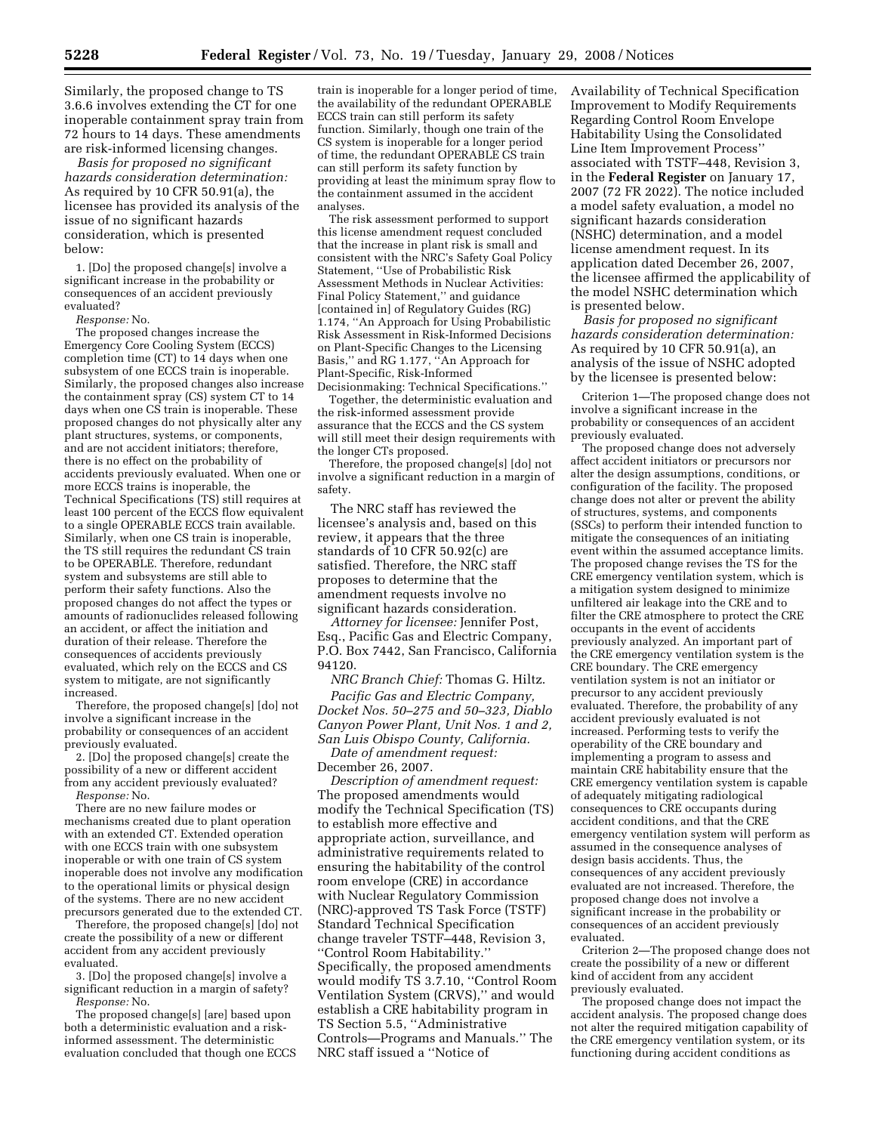Similarly, the proposed change to TS 3.6.6 involves extending the CT for one inoperable containment spray train from 72 hours to 14 days. These amendments are risk-informed licensing changes.

*Basis for proposed no significant hazards consideration determination:*  As required by 10 CFR 50.91(a), the licensee has provided its analysis of the issue of no significant hazards consideration, which is presented below:

1. [Do] the proposed change[s] involve a significant increase in the probability or consequences of an accident previously evaluated?

*Response:* No.

The proposed changes increase the Emergency Core Cooling System (ECCS) completion time (CT) to 14 days when one subsystem of one ECCS train is inoperable. Similarly, the proposed changes also increase the containment spray (CS) system CT to 14 days when one CS train is inoperable. These proposed changes do not physically alter any plant structures, systems, or components, and are not accident initiators; therefore, there is no effect on the probability of accidents previously evaluated. When one or more ECCS trains is inoperable, the Technical Specifications (TS) still requires at least 100 percent of the ECCS flow equivalent to a single OPERABLE ECCS train available. Similarly, when one CS train is inoperable, the TS still requires the redundant CS train to be OPERABLE. Therefore, redundant system and subsystems are still able to perform their safety functions. Also the proposed changes do not affect the types or amounts of radionuclides released following an accident, or affect the initiation and duration of their release. Therefore the consequences of accidents previously evaluated, which rely on the ECCS and CS system to mitigate, are not significantly increased.

Therefore, the proposed change[s] [do] not involve a significant increase in the probability or consequences of an accident previously evaluated.

2. [Do] the proposed change[s] create the possibility of a new or different accident from any accident previously evaluated? *Response:* No.

There are no new failure modes or mechanisms created due to plant operation with an extended CT. Extended operation with one ECCS train with one subsystem inoperable or with one train of CS system inoperable does not involve any modification to the operational limits or physical design of the systems. There are no new accident precursors generated due to the extended CT.

Therefore, the proposed change[s] [do] not create the possibility of a new or different accident from any accident previously evaluated.

3. [Do] the proposed change[s] involve a significant reduction in a margin of safety? *Response:* No.

The proposed change[s] [are] based upon both a deterministic evaluation and a riskinformed assessment. The deterministic evaluation concluded that though one ECCS

train is inoperable for a longer period of time, the availability of the redundant OPERABLE ECCS train can still perform its safety function. Similarly, though one train of the CS system is inoperable for a longer period of time, the redundant OPERABLE CS train can still perform its safety function by providing at least the minimum spray flow to the containment assumed in the accident analyses.

The risk assessment performed to support this license amendment request concluded that the increase in plant risk is small and consistent with the NRC's Safety Goal Policy Statement, ''Use of Probabilistic Risk Assessment Methods in Nuclear Activities: Final Policy Statement,'' and guidance [contained in] of Regulatory Guides (RG) 1.174, ''An Approach for Using Probabilistic Risk Assessment in Risk-Informed Decisions on Plant-Specific Changes to the Licensing Basis,'' and RG 1.177, ''An Approach for Plant-Specific, Risk-Informed Decisionmaking: Technical Specifications.''

Together, the deterministic evaluation and the risk-informed assessment provide assurance that the ECCS and the CS system will still meet their design requirements with the longer CTs proposed.

Therefore, the proposed change[s] [do] not involve a significant reduction in a margin of safety.

The NRC staff has reviewed the licensee's analysis and, based on this review, it appears that the three standards of 10 CFR 50.92(c) are satisfied. Therefore, the NRC staff proposes to determine that the amendment requests involve no significant hazards consideration.

*Attorney for licensee:* Jennifer Post, Esq., Pacific Gas and Electric Company, P.O. Box 7442, San Francisco, California 94120.

*NRC Branch Chief:* Thomas G. Hiltz.

*Pacific Gas and Electric Company, Docket Nos. 50–275 and 50–323, Diablo Canyon Power Plant, Unit Nos. 1 and 2, San Luis Obispo County, California.* 

*Date of amendment request:*  December 26, 2007.

*Description of amendment request:*  The proposed amendments would modify the Technical Specification (TS) to establish more effective and appropriate action, surveillance, and administrative requirements related to ensuring the habitability of the control room envelope (CRE) in accordance with Nuclear Regulatory Commission (NRC)-approved TS Task Force (TSTF) Standard Technical Specification change traveler TSTF–448, Revision 3, ''Control Room Habitability.'' Specifically, the proposed amendments would modify TS 3.7.10, ''Control Room Ventilation System (CRVS),'' and would establish a CRE habitability program in TS Section 5.5, ''Administrative Controls—Programs and Manuals.'' The NRC staff issued a ''Notice of

Availability of Technical Specification Improvement to Modify Requirements Regarding Control Room Envelope Habitability Using the Consolidated Line Item Improvement Process'' associated with TSTF–448, Revision 3, in the **Federal Register** on January 17, 2007 (72 FR 2022). The notice included a model safety evaluation, a model no significant hazards consideration (NSHC) determination, and a model license amendment request. In its application dated December 26, 2007, the licensee affirmed the applicability of the model NSHC determination which is presented below.

*Basis for proposed no significant hazards consideration determination:*  As required by 10 CFR 50.91(a), an analysis of the issue of NSHC adopted by the licensee is presented below:

Criterion 1—The proposed change does not involve a significant increase in the probability or consequences of an accident previously evaluated.

The proposed change does not adversely affect accident initiators or precursors nor alter the design assumptions, conditions, or configuration of the facility. The proposed change does not alter or prevent the ability of structures, systems, and components (SSCs) to perform their intended function to mitigate the consequences of an initiating event within the assumed acceptance limits. The proposed change revises the TS for the CRE emergency ventilation system, which is a mitigation system designed to minimize unfiltered air leakage into the CRE and to filter the CRE atmosphere to protect the CRE occupants in the event of accidents previously analyzed. An important part of the CRE emergency ventilation system is the CRE boundary. The CRE emergency ventilation system is not an initiator or precursor to any accident previously evaluated. Therefore, the probability of any accident previously evaluated is not increased. Performing tests to verify the operability of the CRE boundary and implementing a program to assess and maintain CRE habitability ensure that the CRE emergency ventilation system is capable of adequately mitigating radiological consequences to CRE occupants during accident conditions, and that the CRE emergency ventilation system will perform as assumed in the consequence analyses of design basis accidents. Thus, the consequences of any accident previously evaluated are not increased. Therefore, the proposed change does not involve a significant increase in the probability or consequences of an accident previously evaluated.

Criterion 2—The proposed change does not create the possibility of a new or different kind of accident from any accident previously evaluated.

The proposed change does not impact the accident analysis. The proposed change does not alter the required mitigation capability of the CRE emergency ventilation system, or its functioning during accident conditions as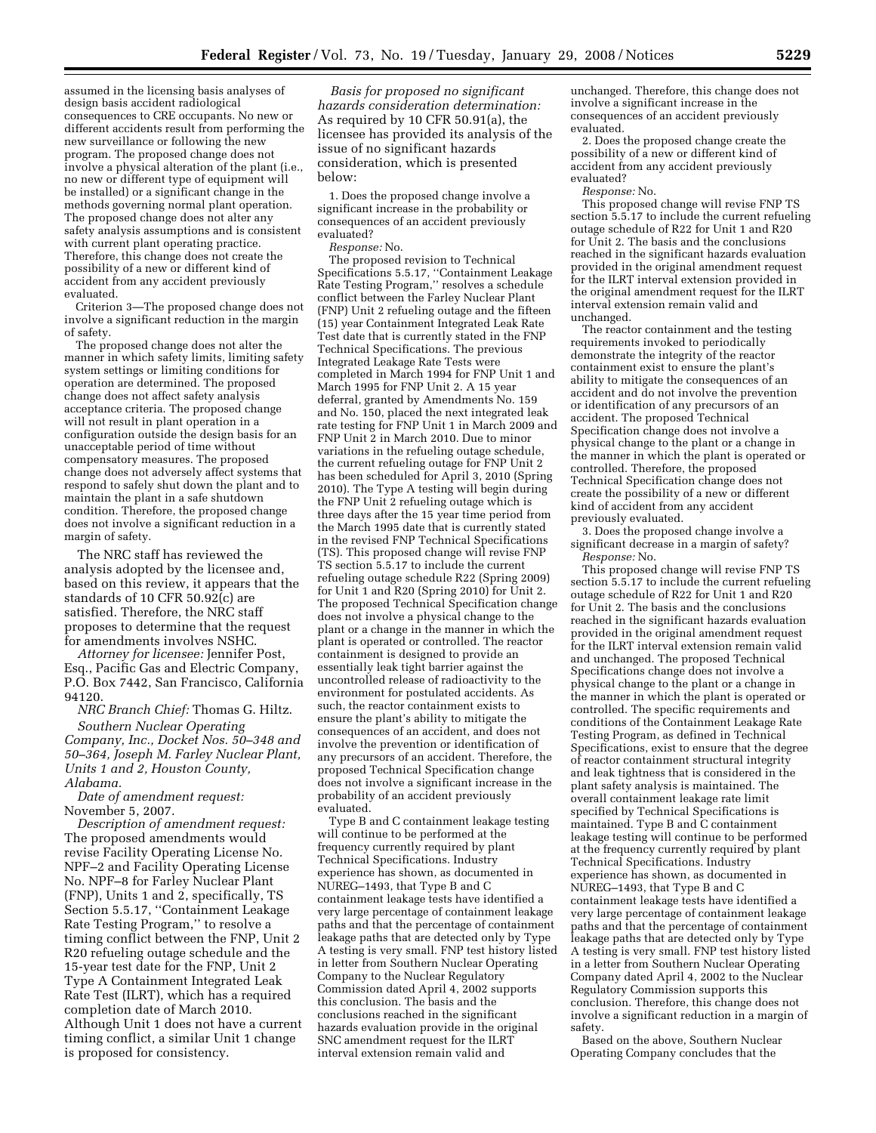assumed in the licensing basis analyses of design basis accident radiological consequences to CRE occupants. No new or different accidents result from performing the new surveillance or following the new program. The proposed change does not involve a physical alteration of the plant (i.e., no new or different type of equipment will be installed) or a significant change in the methods governing normal plant operation. The proposed change does not alter any safety analysis assumptions and is consistent with current plant operating practice. Therefore, this change does not create the possibility of a new or different kind of accident from any accident previously evaluated.

Criterion 3—The proposed change does not involve a significant reduction in the margin of safety.

The proposed change does not alter the manner in which safety limits, limiting safety system settings or limiting conditions for operation are determined. The proposed change does not affect safety analysis acceptance criteria. The proposed change will not result in plant operation in a configuration outside the design basis for an unacceptable period of time without compensatory measures. The proposed change does not adversely affect systems that respond to safely shut down the plant and to maintain the plant in a safe shutdown condition. Therefore, the proposed change does not involve a significant reduction in a margin of safety.

The NRC staff has reviewed the analysis adopted by the licensee and, based on this review, it appears that the standards of 10 CFR 50.92(c) are satisfied. Therefore, the NRC staff proposes to determine that the request for amendments involves NSHC.

*Attorney for licensee:* Jennifer Post, Esq., Pacific Gas and Electric Company, P.O. Box 7442, San Francisco, California 94120.

*NRC Branch Chief:* Thomas G. Hiltz.

*Southern Nuclear Operating Company, Inc., Docket Nos. 50–348 and 50–364, Joseph M. Farley Nuclear Plant, Units 1 and 2, Houston County, Alabama.* 

*Date of amendment request:*  November 5, 2007.

*Description of amendment request:*  The proposed amendments would revise Facility Operating License No. NPF–2 and Facility Operating License No. NPF–8 for Farley Nuclear Plant (FNP), Units 1 and 2, specifically, TS Section 5.5.17, ''Containment Leakage Rate Testing Program,'' to resolve a timing conflict between the FNP, Unit 2 R20 refueling outage schedule and the 15-year test date for the FNP, Unit 2 Type A Containment Integrated Leak Rate Test (ILRT), which has a required completion date of March 2010. Although Unit 1 does not have a current timing conflict, a similar Unit 1 change is proposed for consistency.

*Basis for proposed no significant hazards consideration determination:*  As required by 10 CFR 50.91(a), the licensee has provided its analysis of the issue of no significant hazards consideration, which is presented below:

1. Does the proposed change involve a significant increase in the probability or consequences of an accident previously evaluated?

*Response:* No.

The proposed revision to Technical Specifications 5.5.17, ''Containment Leakage Rate Testing Program,'' resolves a schedule conflict between the Farley Nuclear Plant (FNP) Unit 2 refueling outage and the fifteen (15) year Containment Integrated Leak Rate Test date that is currently stated in the FNP Technical Specifications. The previous Integrated Leakage Rate Tests were completed in March 1994 for FNP Unit 1 and March 1995 for FNP Unit 2. A 15 year deferral, granted by Amendments No. 159 and No. 150, placed the next integrated leak rate testing for FNP Unit 1 in March 2009 and FNP Unit 2 in March 2010. Due to minor variations in the refueling outage schedule, the current refueling outage for FNP Unit 2 has been scheduled for April 3, 2010 (Spring 2010). The Type A testing will begin during the FNP Unit 2 refueling outage which is three days after the 15 year time period from the March 1995 date that is currently stated in the revised FNP Technical Specifications (TS). This proposed change will revise FNP TS section 5.5.17 to include the current refueling outage schedule R22 (Spring 2009) for Unit 1 and R20 (Spring 2010) for Unit 2. The proposed Technical Specification change does not involve a physical change to the plant or a change in the manner in which the plant is operated or controlled. The reactor containment is designed to provide an essentially leak tight barrier against the uncontrolled release of radioactivity to the environment for postulated accidents. As such, the reactor containment exists to ensure the plant's ability to mitigate the consequences of an accident, and does not involve the prevention or identification of any precursors of an accident. Therefore, the proposed Technical Specification change does not involve a significant increase in the probability of an accident previously evaluated.

Type B and C containment leakage testing will continue to be performed at the frequency currently required by plant Technical Specifications. Industry experience has shown, as documented in NUREG–1493, that Type B and C containment leakage tests have identified a very large percentage of containment leakage paths and that the percentage of containment leakage paths that are detected only by Type A testing is very small. FNP test history listed in letter from Southern Nuclear Operating Company to the Nuclear Regulatory Commission dated April 4, 2002 supports this conclusion. The basis and the conclusions reached in the significant hazards evaluation provide in the original SNC amendment request for the ILRT interval extension remain valid and

unchanged. Therefore, this change does not involve a significant increase in the consequences of an accident previously evaluated.

2. Does the proposed change create the possibility of a new or different kind of accident from any accident previously evaluated?

*Response:* No.

This proposed change will revise FNP TS section 5.5.17 to include the current refueling outage schedule of R22 for Unit 1 and R20 for Unit 2. The basis and the conclusions reached in the significant hazards evaluation provided in the original amendment request for the ILRT interval extension provided in the original amendment request for the ILRT interval extension remain valid and unchanged.

The reactor containment and the testing requirements invoked to periodically demonstrate the integrity of the reactor containment exist to ensure the plant's ability to mitigate the consequences of an accident and do not involve the prevention or identification of any precursors of an accident. The proposed Technical Specification change does not involve a physical change to the plant or a change in the manner in which the plant is operated or controlled. Therefore, the proposed Technical Specification change does not create the possibility of a new or different kind of accident from any accident previously evaluated.

3. Does the proposed change involve a significant decrease in a margin of safety? *Response:* No.

This proposed change will revise FNP TS section 5.5.17 to include the current refueling outage schedule of R22 for Unit 1 and R20 for Unit 2. The basis and the conclusions reached in the significant hazards evaluation provided in the original amendment request for the ILRT interval extension remain valid and unchanged. The proposed Technical Specifications change does not involve a physical change to the plant or a change in the manner in which the plant is operated or controlled. The specific requirements and conditions of the Containment Leakage Rate Testing Program, as defined in Technical Specifications, exist to ensure that the degree of reactor containment structural integrity and leak tightness that is considered in the plant safety analysis is maintained. The overall containment leakage rate limit specified by Technical Specifications is maintained. Type B and C containment leakage testing will continue to be performed at the frequency currently required by plant Technical Specifications. Industry experience has shown, as documented in NUREG–1493, that Type B and C containment leakage tests have identified a very large percentage of containment leakage paths and that the percentage of containment leakage paths that are detected only by Type A testing is very small. FNP test history listed in a letter from Southern Nuclear Operating Company dated April 4, 2002 to the Nuclear Regulatory Commission supports this conclusion. Therefore, this change does not involve a significant reduction in a margin of safety.

Based on the above, Southern Nuclear Operating Company concludes that the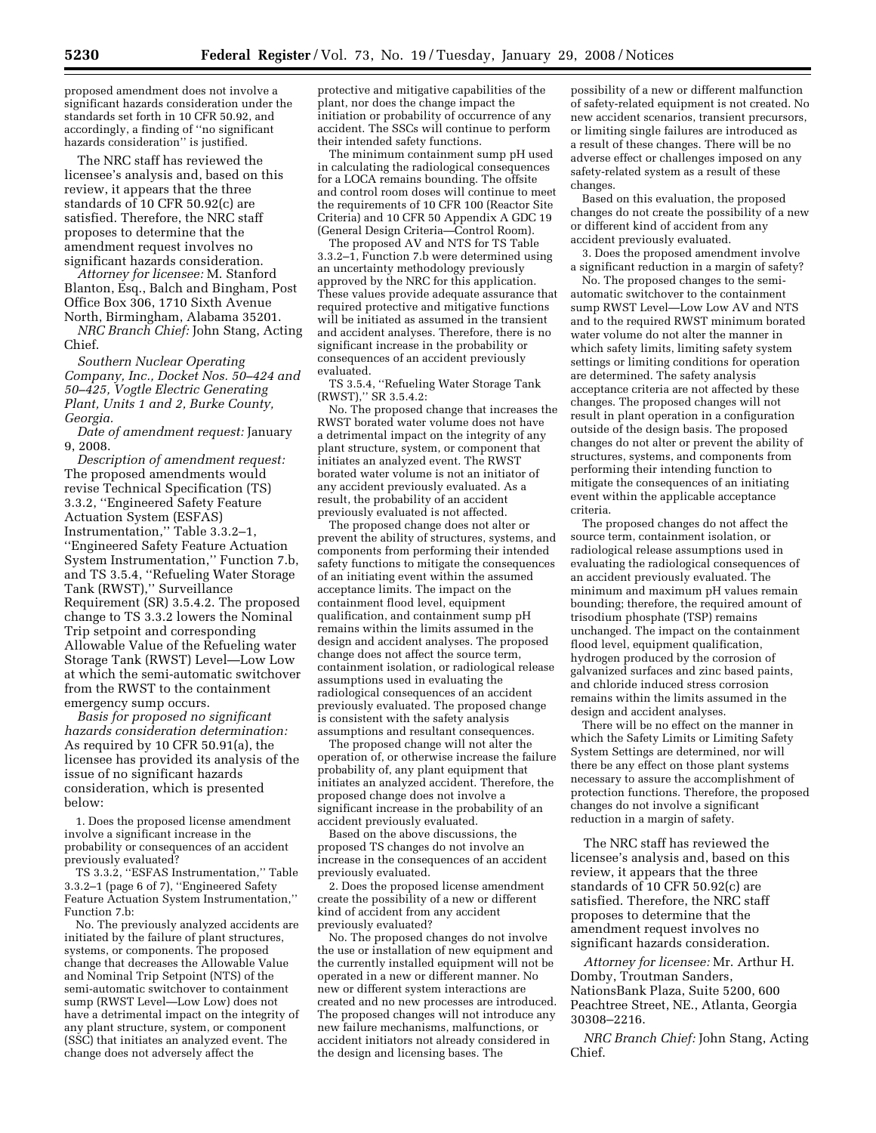proposed amendment does not involve a significant hazards consideration under the standards set forth in 10 CFR 50.92, and accordingly, a finding of ''no significant hazards consideration'' is justified.

The NRC staff has reviewed the licensee's analysis and, based on this review, it appears that the three standards of 10 CFR 50.92(c) are satisfied. Therefore, the NRC staff proposes to determine that the amendment request involves no significant hazards consideration.

*Attorney for licensee:* M. Stanford Blanton, Esq., Balch and Bingham, Post Office Box 306, 1710 Sixth Avenue North, Birmingham, Alabama 35201.

*NRC Branch Chief:* John Stang, Acting Chief.

*Southern Nuclear Operating Company, Inc., Docket Nos. 50–424 and 50–425, Vogtle Electric Generating Plant, Units 1 and 2, Burke County, Georgia.* 

*Date of amendment request:* January 9, 2008.

*Description of amendment request:*  The proposed amendments would revise Technical Specification (TS) 3.3.2, ''Engineered Safety Feature Actuation System (ESFAS) Instrumentation,'' Table 3.3.2–1, ''Engineered Safety Feature Actuation System Instrumentation,'' Function 7.b, and TS 3.5.4, ''Refueling Water Storage Tank (RWST),'' Surveillance Requirement (SR) 3.5.4.2. The proposed change to TS 3.3.2 lowers the Nominal Trip setpoint and corresponding Allowable Value of the Refueling water Storage Tank (RWST) Level—Low Low at which the semi-automatic switchover from the RWST to the containment emergency sump occurs.

*Basis for proposed no significant hazards consideration determination:*  As required by 10 CFR 50.91(a), the licensee has provided its analysis of the issue of no significant hazards consideration, which is presented below:

1. Does the proposed license amendment involve a significant increase in the probability or consequences of an accident previously evaluated?

TS 3.3.2, ''ESFAS Instrumentation,'' Table 3.3.2–1 (page 6 of 7), ''Engineered Safety Feature Actuation System Instrumentation,'' Function 7.b:

No. The previously analyzed accidents are initiated by the failure of plant structures, systems, or components. The proposed change that decreases the Allowable Value and Nominal Trip Setpoint (NTS) of the semi-automatic switchover to containment sump (RWST Level—Low Low) does not have a detrimental impact on the integrity of any plant structure, system, or component (SSC) that initiates an analyzed event. The change does not adversely affect the

protective and mitigative capabilities of the plant, nor does the change impact the initiation or probability of occurrence of any accident. The SSCs will continue to perform their intended safety functions.

The minimum containment sump pH used in calculating the radiological consequences for a LOCA remains bounding. The offsite and control room doses will continue to meet the requirements of 10 CFR 100 (Reactor Site Criteria) and 10 CFR 50 Appendix A GDC 19 (General Design Criteria—Control Room).

The proposed AV and NTS for TS Table 3.3.2–1, Function 7.b were determined using an uncertainty methodology previously approved by the NRC for this application. These values provide adequate assurance that required protective and mitigative functions will be initiated as assumed in the transient and accident analyses. Therefore, there is no significant increase in the probability or consequences of an accident previously evaluated.

TS 3.5.4, ''Refueling Water Storage Tank (RWST),'' SR 3.5.4.2:

No. The proposed change that increases the RWST borated water volume does not have a detrimental impact on the integrity of any plant structure, system, or component that initiates an analyzed event. The RWST borated water volume is not an initiator of any accident previously evaluated. As a result, the probability of an accident previously evaluated is not affected.

The proposed change does not alter or prevent the ability of structures, systems, and components from performing their intended safety functions to mitigate the consequences of an initiating event within the assumed acceptance limits. The impact on the containment flood level, equipment qualification, and containment sump pH remains within the limits assumed in the design and accident analyses. The proposed change does not affect the source term, containment isolation, or radiological release assumptions used in evaluating the radiological consequences of an accident previously evaluated. The proposed change is consistent with the safety analysis assumptions and resultant consequences.

The proposed change will not alter the operation of, or otherwise increase the failure probability of, any plant equipment that initiates an analyzed accident. Therefore, the proposed change does not involve a significant increase in the probability of an accident previously evaluated.

Based on the above discussions, the proposed TS changes do not involve an increase in the consequences of an accident previously evaluated.

2. Does the proposed license amendment create the possibility of a new or different kind of accident from any accident previously evaluated?

No. The proposed changes do not involve the use or installation of new equipment and the currently installed equipment will not be operated in a new or different manner. No new or different system interactions are created and no new processes are introduced. The proposed changes will not introduce any new failure mechanisms, malfunctions, or accident initiators not already considered in the design and licensing bases. The

possibility of a new or different malfunction of safety-related equipment is not created. No new accident scenarios, transient precursors, or limiting single failures are introduced as a result of these changes. There will be no adverse effect or challenges imposed on any safety-related system as a result of these changes.

Based on this evaluation, the proposed changes do not create the possibility of a new or different kind of accident from any accident previously evaluated.

3. Does the proposed amendment involve a significant reduction in a margin of safety?

No. The proposed changes to the semiautomatic switchover to the containment sump RWST Level—Low Low AV and NTS and to the required RWST minimum borated water volume do not alter the manner in which safety limits, limiting safety system settings or limiting conditions for operation are determined. The safety analysis acceptance criteria are not affected by these changes. The proposed changes will not result in plant operation in a configuration outside of the design basis. The proposed changes do not alter or prevent the ability of structures, systems, and components from performing their intending function to mitigate the consequences of an initiating event within the applicable acceptance criteria.

The proposed changes do not affect the source term, containment isolation, or radiological release assumptions used in evaluating the radiological consequences of an accident previously evaluated. The minimum and maximum pH values remain bounding; therefore, the required amount of trisodium phosphate (TSP) remains unchanged. The impact on the containment flood level, equipment qualification, hydrogen produced by the corrosion of galvanized surfaces and zinc based paints, and chloride induced stress corrosion remains within the limits assumed in the design and accident analyses.

There will be no effect on the manner in which the Safety Limits or Limiting Safety System Settings are determined, nor will there be any effect on those plant systems necessary to assure the accomplishment of protection functions. Therefore, the proposed changes do not involve a significant reduction in a margin of safety.

The NRC staff has reviewed the licensee's analysis and, based on this review, it appears that the three standards of 10 CFR 50.92(c) are satisfied. Therefore, the NRC staff proposes to determine that the amendment request involves no significant hazards consideration.

*Attorney for licensee:* Mr. Arthur H. Domby, Troutman Sanders, NationsBank Plaza, Suite 5200, 600 Peachtree Street, NE., Atlanta, Georgia 30308–2216.

*NRC Branch Chief:* John Stang, Acting Chief.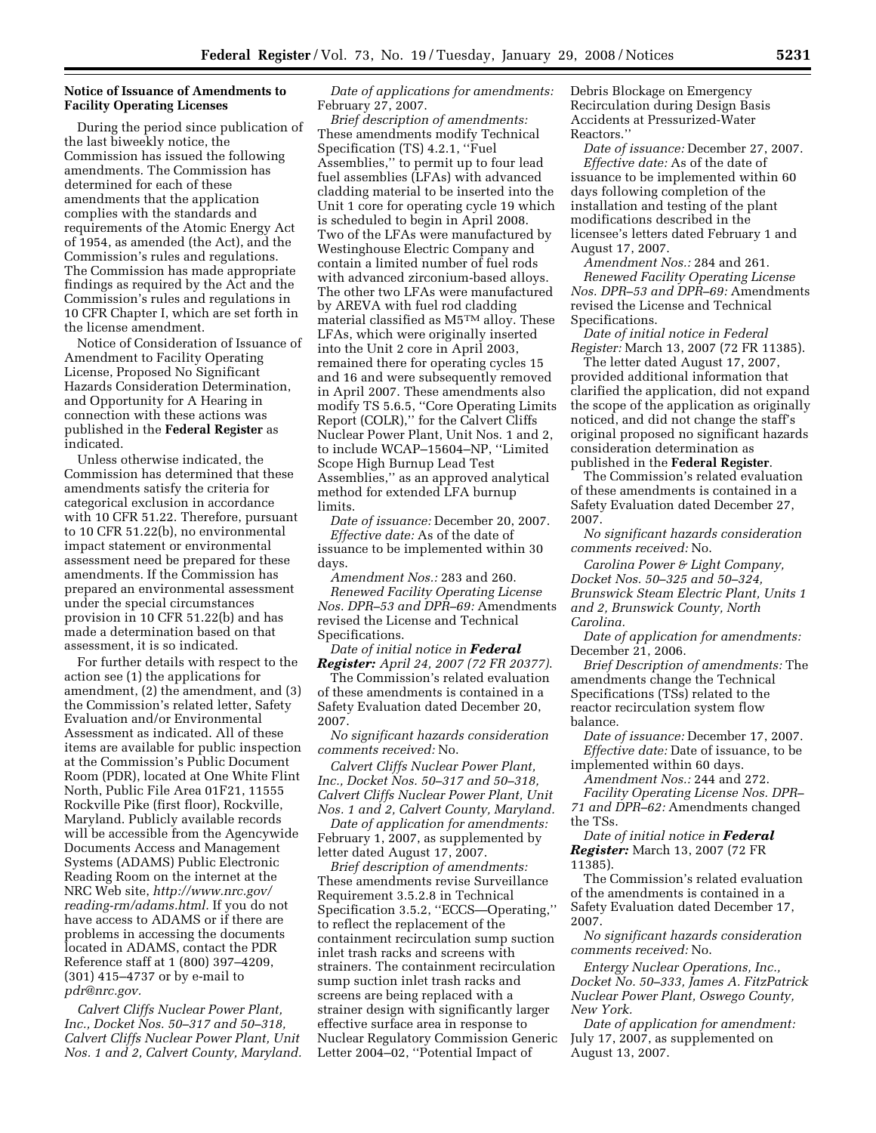# **Notice of Issuance of Amendments to Facility Operating Licenses**

During the period since publication of the last biweekly notice, the Commission has issued the following amendments. The Commission has determined for each of these amendments that the application complies with the standards and requirements of the Atomic Energy Act of 1954, as amended (the Act), and the Commission's rules and regulations. The Commission has made appropriate findings as required by the Act and the Commission's rules and regulations in 10 CFR Chapter I, which are set forth in the license amendment.

Notice of Consideration of Issuance of Amendment to Facility Operating License, Proposed No Significant Hazards Consideration Determination, and Opportunity for A Hearing in connection with these actions was published in the **Federal Register** as indicated.

Unless otherwise indicated, the Commission has determined that these amendments satisfy the criteria for categorical exclusion in accordance with 10 CFR 51.22. Therefore, pursuant to 10 CFR 51.22(b), no environmental impact statement or environmental assessment need be prepared for these amendments. If the Commission has prepared an environmental assessment under the special circumstances provision in 10 CFR 51.22(b) and has made a determination based on that assessment, it is so indicated.

For further details with respect to the action see (1) the applications for amendment, (2) the amendment, and (3) the Commission's related letter, Safety Evaluation and/or Environmental Assessment as indicated. All of these items are available for public inspection at the Commission's Public Document Room (PDR), located at One White Flint North, Public File Area 01F21, 11555 Rockville Pike (first floor), Rockville, Maryland. Publicly available records will be accessible from the Agencywide Documents Access and Management Systems (ADAMS) Public Electronic Reading Room on the internet at the NRC Web site, *http://www.nrc.gov/ reading-rm/adams.html.* If you do not have access to ADAMS or if there are problems in accessing the documents located in ADAMS, contact the PDR Reference staff at 1 (800) 397–4209, (301) 415–4737 or by e-mail to *pdr@nrc.gov.* 

*Calvert Cliffs Nuclear Power Plant, Inc., Docket Nos. 50–317 and 50–318, Calvert Cliffs Nuclear Power Plant, Unit Nos. 1 and 2, Calvert County, Maryland.* 

*Date of applications for amendments:*  February 27, 2007.

*Brief description of amendments:*  These amendments modify Technical Specification (TS) 4.2.1, ''Fuel Assemblies,'' to permit up to four lead fuel assemblies (LFAs) with advanced cladding material to be inserted into the Unit 1 core for operating cycle 19 which is scheduled to begin in April 2008. Two of the LFAs were manufactured by Westinghouse Electric Company and contain a limited number of fuel rods with advanced zirconium-based alloys. The other two LFAs were manufactured by AREVA with fuel rod cladding material classified as M5TM alloy. These LFAs, which were originally inserted into the Unit 2 core in April 2003, remained there for operating cycles 15 and 16 and were subsequently removed in April 2007. These amendments also modify TS 5.6.5, ''Core Operating Limits Report (COLR),'' for the Calvert Cliffs Nuclear Power Plant, Unit Nos. 1 and 2, to include WCAP–15604–NP, ''Limited Scope High Burnup Lead Test Assemblies,'' as an approved analytical method for extended LFA burnup limits.

*Date of issuance:* December 20, 2007. *Effective date:* As of the date of issuance to be implemented within 30 days.

*Amendment Nos.:* 283 and 260. *Renewed Facility Operating License Nos. DPR–53 and DPR–69:* Amendments revised the License and Technical Specifications.

*Date of initial notice in Federal Register: April 24, 2007 (72 FR 20377)*. The Commission's related evaluation of these amendments is contained in a Safety Evaluation dated December 20, 2007.

*No significant hazards consideration comments received:* No.

*Calvert Cliffs Nuclear Power Plant, Inc., Docket Nos. 50–317 and 50–318, Calvert Cliffs Nuclear Power Plant, Unit Nos. 1 and 2, Calvert County, Maryland.* 

*Date of application for amendments:*  February 1, 2007, as supplemented by letter dated August 17, 2007.

*Brief description of amendments:*  These amendments revise Surveillance Requirement 3.5.2.8 in Technical Specification 3.5.2, ''ECCS—Operating,'' to reflect the replacement of the containment recirculation sump suction inlet trash racks and screens with strainers. The containment recirculation sump suction inlet trash racks and screens are being replaced with a strainer design with significantly larger effective surface area in response to Nuclear Regulatory Commission Generic Letter 2004–02, ''Potential Impact of

Debris Blockage on Emergency Recirculation during Design Basis Accidents at Pressurized-Water Reactors.''

*Date of issuance:* December 27, 2007. *Effective date:* As of the date of issuance to be implemented within 60 days following completion of the installation and testing of the plant modifications described in the licensee's letters dated February 1 and August 17, 2007.

*Amendment Nos.:* 284 and 261. *Renewed Facility Operating License Nos. DPR–53 and DPR–69:* Amendments revised the License and Technical Specifications.

*Date of initial notice in Federal Register:* March 13, 2007 (72 FR 11385).

The letter dated August 17, 2007, provided additional information that clarified the application, did not expand the scope of the application as originally noticed, and did not change the staff's original proposed no significant hazards consideration determination as published in the **Federal Register**.

The Commission's related evaluation of these amendments is contained in a Safety Evaluation dated December 27, 2007.

*No significant hazards consideration comments received:* No.

*Carolina Power & Light Company, Docket Nos. 50–325 and 50–324, Brunswick Steam Electric Plant, Units 1 and 2, Brunswick County, North Carolina.* 

*Date of application for amendments:*  December 21, 2006.

*Brief Description of amendments:* The amendments change the Technical Specifications (TSs) related to the reactor recirculation system flow balance.

*Date of issuance:* December 17, 2007. *Effective date:* Date of issuance, to be implemented within 60 days.

*Amendment Nos.:* 244 and 272.

*Facility Operating License Nos. DPR– 71 and DPR–62:* Amendments changed the TSs.

*Date of initial notice in Federal Register:* March 13, 2007 (72 FR 11385).

The Commission's related evaluation of the amendments is contained in a Safety Evaluation dated December 17, 2007.

*No significant hazards consideration comments received:* No.

*Entergy Nuclear Operations, Inc., Docket No. 50–333, James A. FitzPatrick Nuclear Power Plant, Oswego County, New York.* 

*Date of application for amendment:*  July 17, 2007, as supplemented on August 13, 2007.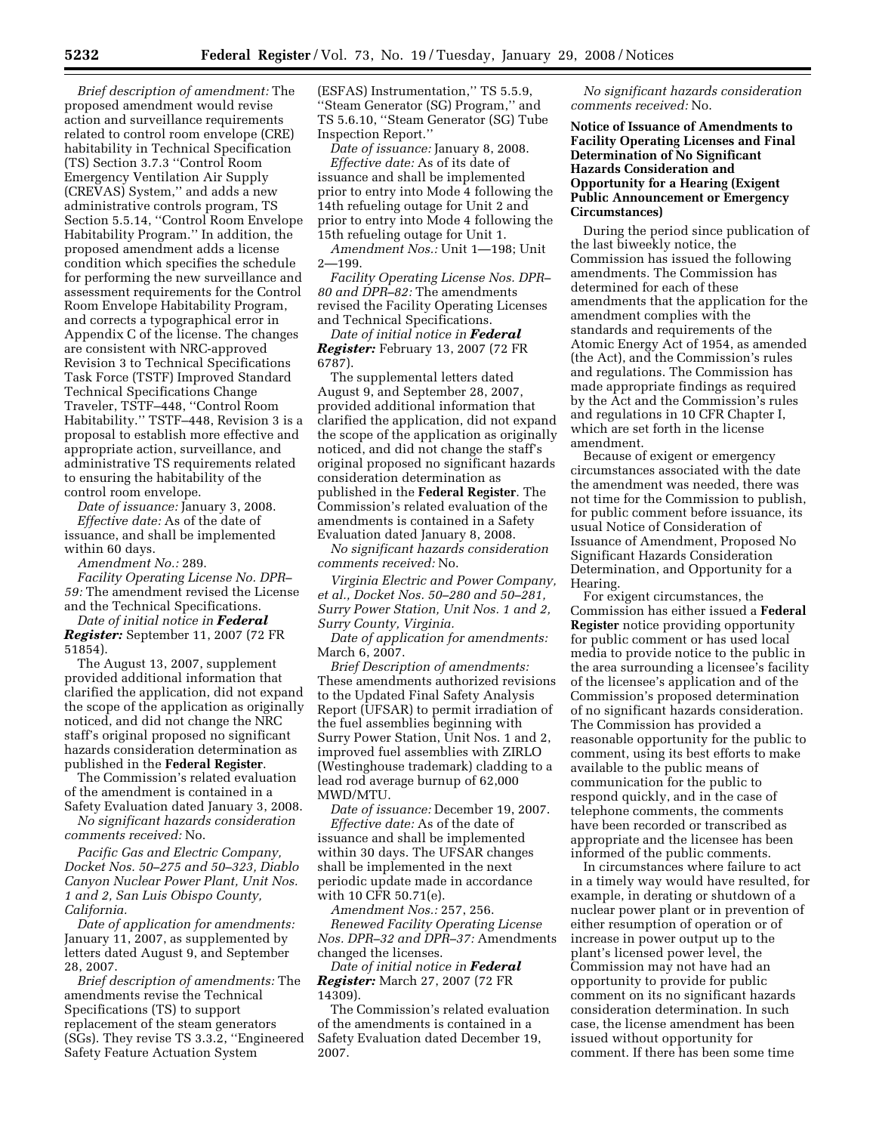*Brief description of amendment:* The proposed amendment would revise action and surveillance requirements related to control room envelope (CRE) habitability in Technical Specification (TS) Section 3.7.3 ''Control Room Emergency Ventilation Air Supply (CREVAS) System,'' and adds a new administrative controls program, TS Section 5.5.14, ''Control Room Envelope Habitability Program.'' In addition, the proposed amendment adds a license condition which specifies the schedule for performing the new surveillance and assessment requirements for the Control Room Envelope Habitability Program, and corrects a typographical error in Appendix C of the license. The changes are consistent with NRC-approved Revision 3 to Technical Specifications Task Force (TSTF) Improved Standard Technical Specifications Change Traveler, TSTF–448, ''Control Room Habitability.'' TSTF–448, Revision 3 is a proposal to establish more effective and appropriate action, surveillance, and administrative TS requirements related to ensuring the habitability of the control room envelope.

*Date of issuance:* January 3, 2008. *Effective date:* As of the date of issuance, and shall be implemented within 60 days.

*Amendment No.:* 289.

*Facility Operating License No. DPR– 59:* The amendment revised the License and the Technical Specifications.

*Date of initial notice in Federal Register:* September 11, 2007 (72 FR 51854).

The August 13, 2007, supplement provided additional information that clarified the application, did not expand the scope of the application as originally noticed, and did not change the NRC staff's original proposed no significant hazards consideration determination as published in the **Federal Register**.

The Commission's related evaluation of the amendment is contained in a Safety Evaluation dated January 3, 2008.

*No significant hazards consideration comments received:* No.

*Pacific Gas and Electric Company, Docket Nos. 50–275 and 50–323, Diablo Canyon Nuclear Power Plant, Unit Nos. 1 and 2, San Luis Obispo County, California.* 

*Date of application for amendments:*  January 11, 2007, as supplemented by letters dated August 9, and September 28, 2007.

*Brief description of amendments:* The amendments revise the Technical Specifications (TS) to support replacement of the steam generators (SGs). They revise TS 3.3.2, ''Engineered Safety Feature Actuation System

(ESFAS) Instrumentation,'' TS 5.5.9, ''Steam Generator (SG) Program,'' and TS 5.6.10, ''Steam Generator (SG) Tube Inspection Report.''

*Date of issuance:* January 8, 2008. *Effective date:* As of its date of issuance and shall be implemented prior to entry into Mode 4 following the 14th refueling outage for Unit 2 and prior to entry into Mode 4 following the 15th refueling outage for Unit 1.

*Amendment Nos.:* Unit 1—198; Unit 2—199.

*Facility Operating License Nos. DPR– 80 and DPR–82:* The amendments revised the Facility Operating Licenses and Technical Specifications.

*Date of initial notice in Federal Register:* February 13, 2007 (72 FR 6787).

The supplemental letters dated August 9, and September 28, 2007, provided additional information that clarified the application, did not expand the scope of the application as originally noticed, and did not change the staff's original proposed no significant hazards consideration determination as published in the **Federal Register**. The Commission's related evaluation of the amendments is contained in a Safety Evaluation dated January 8, 2008.

*No significant hazards consideration comments received:* No.

*Virginia Electric and Power Company, et al., Docket Nos. 50–280 and 50–281, Surry Power Station, Unit Nos. 1 and 2, Surry County, Virginia.* 

*Date of application for amendments:*  March 6, 2007.

*Brief Description of amendments:*  These amendments authorized revisions to the Updated Final Safety Analysis Report (UFSAR) to permit irradiation of the fuel assemblies beginning with Surry Power Station, Unit Nos. 1 and 2, improved fuel assemblies with ZIRLO (Westinghouse trademark) cladding to a lead rod average burnup of 62,000 MWD/MTU.

*Date of issuance:* December 19, 2007. *Effective date:* As of the date of issuance and shall be implemented within 30 days. The UFSAR changes shall be implemented in the next periodic update made in accordance with 10 CFR 50.71(e).

*Amendment Nos.:* 257, 256.

*Renewed Facility Operating License Nos. DPR–32 and DPR–37:* Amendments changed the licenses.

*Date of initial notice in Federal Register:* March 27, 2007 (72 FR 14309).

The Commission's related evaluation of the amendments is contained in a Safety Evaluation dated December 19, 2007.

*No significant hazards consideration comments received:* No.

**Notice of Issuance of Amendments to Facility Operating Licenses and Final Determination of No Significant Hazards Consideration and Opportunity for a Hearing (Exigent Public Announcement or Emergency Circumstances)** 

During the period since publication of the last biweekly notice, the Commission has issued the following amendments. The Commission has determined for each of these amendments that the application for the amendment complies with the standards and requirements of the Atomic Energy Act of 1954, as amended (the Act), and the Commission's rules and regulations. The Commission has made appropriate findings as required by the Act and the Commission's rules and regulations in 10 CFR Chapter I, which are set forth in the license amendment.

Because of exigent or emergency circumstances associated with the date the amendment was needed, there was not time for the Commission to publish, for public comment before issuance, its usual Notice of Consideration of Issuance of Amendment, Proposed No Significant Hazards Consideration Determination, and Opportunity for a Hearing.

For exigent circumstances, the Commission has either issued a **Federal Register** notice providing opportunity for public comment or has used local media to provide notice to the public in the area surrounding a licensee's facility of the licensee's application and of the Commission's proposed determination of no significant hazards consideration. The Commission has provided a reasonable opportunity for the public to comment, using its best efforts to make available to the public means of communication for the public to respond quickly, and in the case of telephone comments, the comments have been recorded or transcribed as appropriate and the licensee has been informed of the public comments.

In circumstances where failure to act in a timely way would have resulted, for example, in derating or shutdown of a nuclear power plant or in prevention of either resumption of operation or of increase in power output up to the plant's licensed power level, the Commission may not have had an opportunity to provide for public comment on its no significant hazards consideration determination. In such case, the license amendment has been issued without opportunity for comment. If there has been some time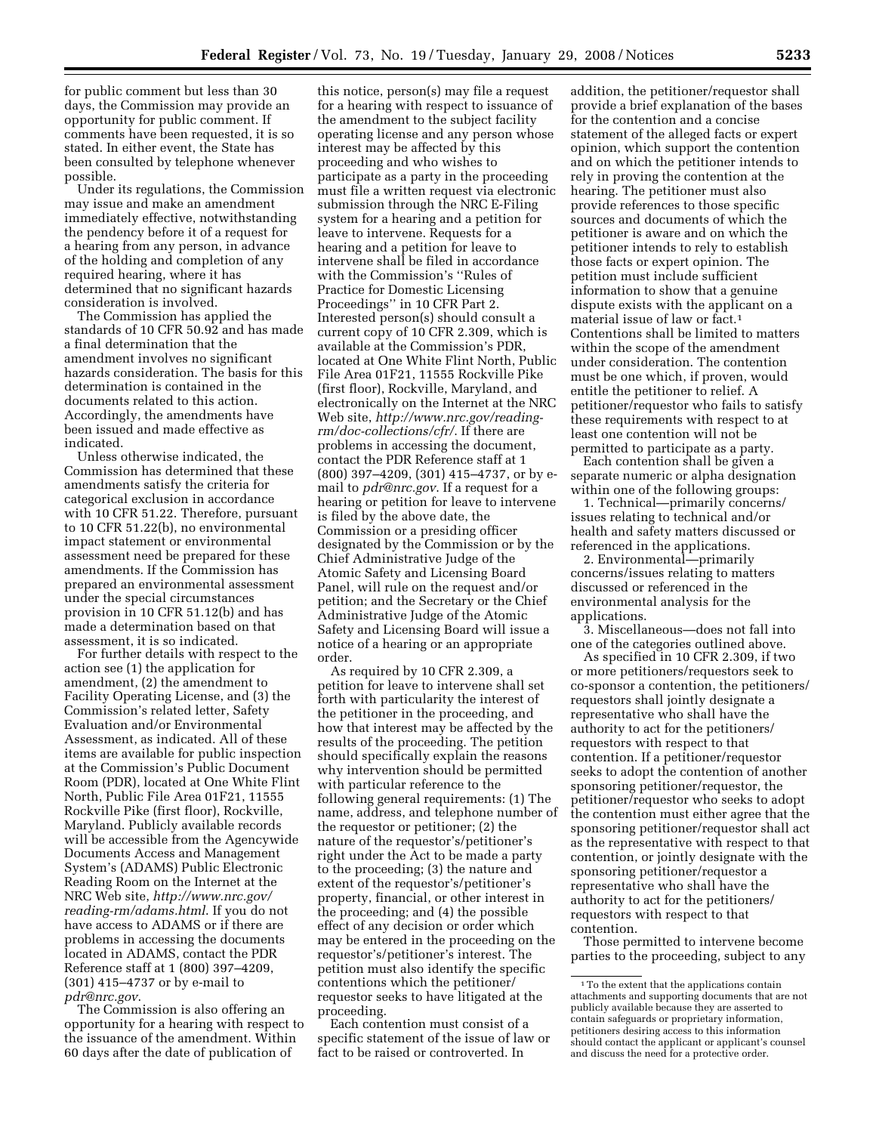for public comment but less than 30 days, the Commission may provide an opportunity for public comment. If comments have been requested, it is so stated. In either event, the State has been consulted by telephone whenever possible.

Under its regulations, the Commission may issue and make an amendment immediately effective, notwithstanding the pendency before it of a request for a hearing from any person, in advance of the holding and completion of any required hearing, where it has determined that no significant hazards consideration is involved.

The Commission has applied the standards of 10 CFR 50.92 and has made a final determination that the amendment involves no significant hazards consideration. The basis for this determination is contained in the documents related to this action. Accordingly, the amendments have been issued and made effective as indicated.

Unless otherwise indicated, the Commission has determined that these amendments satisfy the criteria for categorical exclusion in accordance with 10 CFR 51.22. Therefore, pursuant to 10 CFR 51.22(b), no environmental impact statement or environmental assessment need be prepared for these amendments. If the Commission has prepared an environmental assessment under the special circumstances provision in 10 CFR 51.12(b) and has made a determination based on that assessment, it is so indicated.

For further details with respect to the action see (1) the application for amendment, (2) the amendment to Facility Operating License, and (3) the Commission's related letter, Safety Evaluation and/or Environmental Assessment, as indicated. All of these items are available for public inspection at the Commission's Public Document Room (PDR), located at One White Flint North, Public File Area 01F21, 11555 Rockville Pike (first floor), Rockville, Maryland. Publicly available records will be accessible from the Agencywide Documents Access and Management System's (ADAMS) Public Electronic Reading Room on the Internet at the NRC Web site, *http://www.nrc.gov/ reading-rm/adams.html*. If you do not have access to ADAMS or if there are problems in accessing the documents located in ADAMS, contact the PDR Reference staff at 1 (800) 397–4209, (301) 415–4737 or by e-mail to *pdr@nrc.gov*.

The Commission is also offering an opportunity for a hearing with respect to the issuance of the amendment. Within 60 days after the date of publication of

this notice, person(s) may file a request for a hearing with respect to issuance of the amendment to the subject facility operating license and any person whose interest may be affected by this proceeding and who wishes to participate as a party in the proceeding must file a written request via electronic submission through the NRC E-Filing system for a hearing and a petition for leave to intervene. Requests for a hearing and a petition for leave to intervene shall be filed in accordance with the Commission's ''Rules of Practice for Domestic Licensing Proceedings'' in 10 CFR Part 2. Interested person(s) should consult a current copy of 10 CFR 2.309, which is available at the Commission's PDR, located at One White Flint North, Public File Area 01F21, 11555 Rockville Pike (first floor), Rockville, Maryland, and electronically on the Internet at the NRC Web site, *http://www.nrc.gov/readingrm/doc-collections/cfr/*. If there are problems in accessing the document, contact the PDR Reference staff at 1 (800) 397–4209, (301) 415–4737, or by email to *pdr@nrc.gov*. If a request for a hearing or petition for leave to intervene is filed by the above date, the Commission or a presiding officer designated by the Commission or by the Chief Administrative Judge of the Atomic Safety and Licensing Board Panel, will rule on the request and/or petition; and the Secretary or the Chief Administrative Judge of the Atomic Safety and Licensing Board will issue a notice of a hearing or an appropriate order.

As required by 10 CFR 2.309, a petition for leave to intervene shall set forth with particularity the interest of the petitioner in the proceeding, and how that interest may be affected by the results of the proceeding. The petition should specifically explain the reasons why intervention should be permitted with particular reference to the following general requirements: (1) The name, address, and telephone number of the requestor or petitioner; (2) the nature of the requestor's/petitioner's right under the Act to be made a party to the proceeding; (3) the nature and extent of the requestor's/petitioner's property, financial, or other interest in the proceeding; and (4) the possible effect of any decision or order which may be entered in the proceeding on the requestor's/petitioner's interest. The petition must also identify the specific contentions which the petitioner/ requestor seeks to have litigated at the proceeding.

Each contention must consist of a specific statement of the issue of law or fact to be raised or controverted. In

addition, the petitioner/requestor shall provide a brief explanation of the bases for the contention and a concise statement of the alleged facts or expert opinion, which support the contention and on which the petitioner intends to rely in proving the contention at the hearing. The petitioner must also provide references to those specific sources and documents of which the petitioner is aware and on which the petitioner intends to rely to establish those facts or expert opinion. The petition must include sufficient information to show that a genuine dispute exists with the applicant on a material issue of law or fact.1 Contentions shall be limited to matters within the scope of the amendment under consideration. The contention must be one which, if proven, would entitle the petitioner to relief. A petitioner/requestor who fails to satisfy these requirements with respect to at least one contention will not be permitted to participate as a party.

Each contention shall be given a separate numeric or alpha designation within one of the following groups:

1. Technical—primarily concerns/ issues relating to technical and/or health and safety matters discussed or referenced in the applications.

2. Environmental—primarily concerns/issues relating to matters discussed or referenced in the environmental analysis for the applications.

3. Miscellaneous—does not fall into one of the categories outlined above.

As specified in 10 CFR 2.309, if two or more petitioners/requestors seek to co-sponsor a contention, the petitioners/ requestors shall jointly designate a representative who shall have the authority to act for the petitioners/ requestors with respect to that contention. If a petitioner/requestor seeks to adopt the contention of another sponsoring petitioner/requestor, the petitioner/requestor who seeks to adopt the contention must either agree that the sponsoring petitioner/requestor shall act as the representative with respect to that contention, or jointly designate with the sponsoring petitioner/requestor a representative who shall have the authority to act for the petitioners/ requestors with respect to that contention.

Those permitted to intervene become parties to the proceeding, subject to any

 $\,$  1 To the extent that the applications contain attachments and supporting documents that are not publicly available because they are asserted to contain safeguards or proprietary information, petitioners desiring access to this information should contact the applicant or applicant's counsel and discuss the need for a protective order.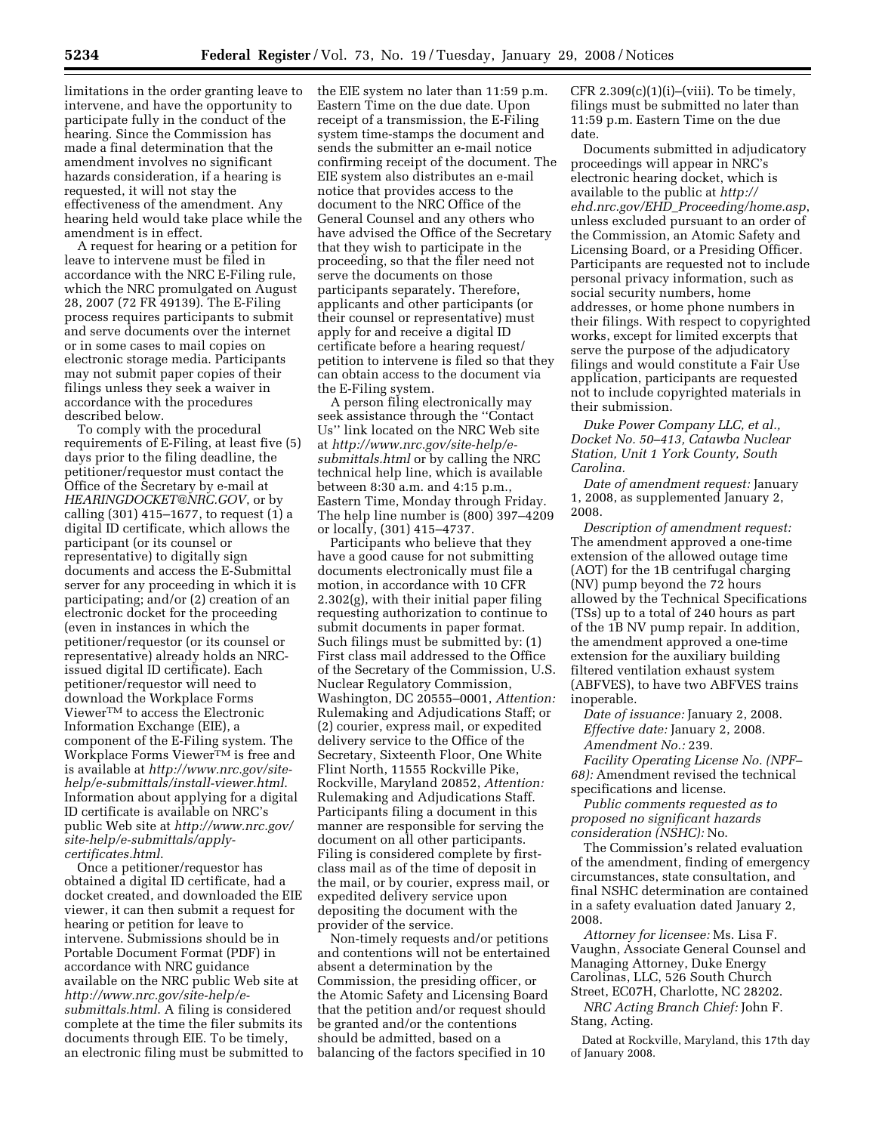limitations in the order granting leave to intervene, and have the opportunity to participate fully in the conduct of the hearing. Since the Commission has made a final determination that the amendment involves no significant hazards consideration, if a hearing is requested, it will not stay the effectiveness of the amendment. Any hearing held would take place while the amendment is in effect.

A request for hearing or a petition for leave to intervene must be filed in accordance with the NRC E-Filing rule, which the NRC promulgated on August 28, 2007 (72 FR 49139). The E-Filing process requires participants to submit and serve documents over the internet or in some cases to mail copies on electronic storage media. Participants may not submit paper copies of their filings unless they seek a waiver in accordance with the procedures described below.

To comply with the procedural requirements of E-Filing, at least five (5) days prior to the filing deadline, the petitioner/requestor must contact the Office of the Secretary by e-mail at *HEARINGDOCKET@NRC.GOV*, or by calling (301) 415–1677, to request (1) a digital ID certificate, which allows the participant (or its counsel or representative) to digitally sign documents and access the E-Submittal server for any proceeding in which it is participating; and/or (2) creation of an electronic docket for the proceeding (even in instances in which the petitioner/requestor (or its counsel or representative) already holds an NRCissued digital ID certificate). Each petitioner/requestor will need to download the Workplace Forms ViewerTM to access the Electronic Information Exchange (EIE), a component of the E-Filing system. The Workplace Forms ViewerTM is free and is available at *http://www.nrc.gov/sitehelp/e-submittals/install-viewer.html*. Information about applying for a digital ID certificate is available on NRC's public Web site at *http://www.nrc.gov/ site-help/e-submittals/applycertificates.html*.

Once a petitioner/requestor has obtained a digital ID certificate, had a docket created, and downloaded the EIE viewer, it can then submit a request for hearing or petition for leave to intervene. Submissions should be in Portable Document Format (PDF) in accordance with NRC guidance available on the NRC public Web site at *http://www.nrc.gov/site-help/esubmittals.html*. A filing is considered complete at the time the filer submits its documents through EIE. To be timely, an electronic filing must be submitted to the EIE system no later than 11:59 p.m. Eastern Time on the due date. Upon receipt of a transmission, the E-Filing system time-stamps the document and sends the submitter an e-mail notice confirming receipt of the document. The EIE system also distributes an e-mail notice that provides access to the document to the NRC Office of the General Counsel and any others who have advised the Office of the Secretary that they wish to participate in the proceeding, so that the filer need not serve the documents on those participants separately. Therefore, applicants and other participants (or their counsel or representative) must apply for and receive a digital ID certificate before a hearing request/ petition to intervene is filed so that they can obtain access to the document via the E-Filing system.

A person filing electronically may seek assistance through the ''Contact Us'' link located on the NRC Web site at *http://www.nrc.gov/site-help/esubmittals.html* or by calling the NRC technical help line, which is available between 8:30 a.m. and 4:15 p.m., Eastern Time, Monday through Friday. The help line number is (800) 397–4209 or locally, (301) 415–4737.

Participants who believe that they have a good cause for not submitting documents electronically must file a motion, in accordance with 10 CFR 2.302(g), with their initial paper filing requesting authorization to continue to submit documents in paper format. Such filings must be submitted by: (1) First class mail addressed to the Office of the Secretary of the Commission, U.S. Nuclear Regulatory Commission, Washington, DC 20555–0001, *Attention:*  Rulemaking and Adjudications Staff; or (2) courier, express mail, or expedited delivery service to the Office of the Secretary, Sixteenth Floor, One White Flint North, 11555 Rockville Pike, Rockville, Maryland 20852, *Attention:*  Rulemaking and Adjudications Staff. Participants filing a document in this manner are responsible for serving the document on all other participants. Filing is considered complete by firstclass mail as of the time of deposit in the mail, or by courier, express mail, or expedited delivery service upon depositing the document with the provider of the service.

Non-timely requests and/or petitions and contentions will not be entertained absent a determination by the Commission, the presiding officer, or the Atomic Safety and Licensing Board that the petition and/or request should be granted and/or the contentions should be admitted, based on a balancing of the factors specified in 10

CFR  $2.309(c)(1)(i)$ –(viii). To be timely, filings must be submitted no later than 11:59 p.m. Eastern Time on the due date.

Documents submitted in adjudicatory proceedings will appear in NRC's electronic hearing docket, which is available to the public at *http:// ehd.nrc.gov/EHD*\_*Proceeding/home.asp*, unless excluded pursuant to an order of the Commission, an Atomic Safety and Licensing Board, or a Presiding Officer. Participants are requested not to include personal privacy information, such as social security numbers, home addresses, or home phone numbers in their filings. With respect to copyrighted works, except for limited excerpts that serve the purpose of the adjudicatory filings and would constitute a Fair Use application, participants are requested not to include copyrighted materials in their submission.

*Duke Power Company LLC, et al., Docket No. 50–413, Catawba Nuclear Station, Unit 1 York County, South Carolina.* 

*Date of amendment request:* January 1, 2008, as supplemented January 2, 2008.

*Description of amendment request:*  The amendment approved a one-time extension of the allowed outage time (AOT) for the 1B centrifugal charging (NV) pump beyond the 72 hours allowed by the Technical Specifications (TSs) up to a total of 240 hours as part of the 1B NV pump repair. In addition, the amendment approved a one-time extension for the auxiliary building filtered ventilation exhaust system (ABFVES), to have two ABFVES trains inoperable.

*Date of issuance:* January 2, 2008. *Effective date:* January 2, 2008. *Amendment No.:* 239.

*Facility Operating License No. (NPF– 68):* Amendment revised the technical specifications and license.

*Public comments requested as to proposed no significant hazards consideration (NSHC):* No.

The Commission's related evaluation of the amendment, finding of emergency circumstances, state consultation, and final NSHC determination are contained in a safety evaluation dated January 2, 2008.

*Attorney for licensee:* Ms. Lisa F. Vaughn, Associate General Counsel and Managing Attorney, Duke Energy Carolinas, LLC, 526 South Church Street, EC07H, Charlotte, NC 28202.

*NRC Acting Branch Chief:* John F. Stang, Acting.

Dated at Rockville, Maryland, this 17th day of January 2008.